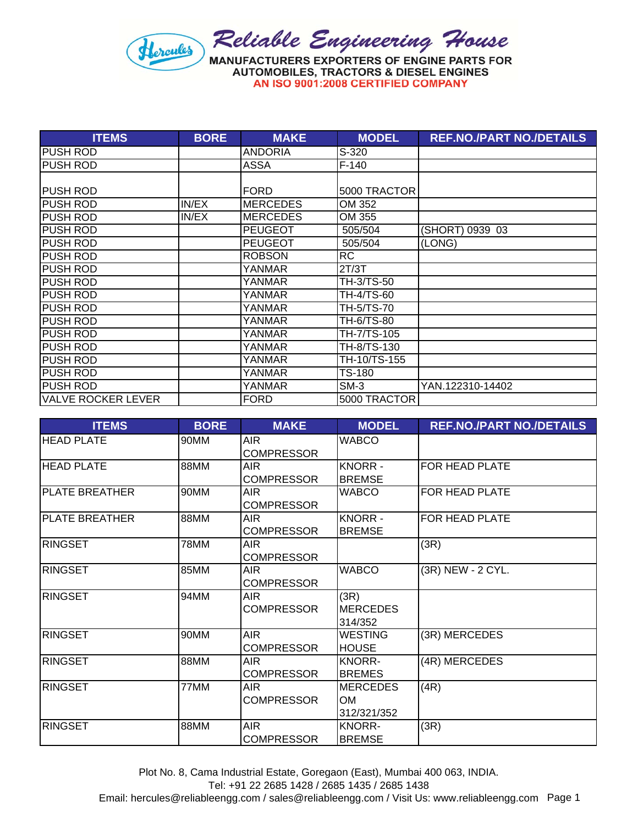

| <b>ITEMS</b>              | <b>BORE</b> | <b>MAKE</b>     | <b>MODEL</b> | <b>REF.NO./PART NO./DETAILS</b> |
|---------------------------|-------------|-----------------|--------------|---------------------------------|
| <b>PUSH ROD</b>           |             | <b>ANDORIA</b>  | S-320        |                                 |
| <b>PUSH ROD</b>           |             | ASSA            | $F-140$      |                                 |
|                           |             |                 |              |                                 |
| <b>PUSH ROD</b>           |             | <b>FORD</b>     | 5000 TRACTOR |                                 |
| <b>PUSH ROD</b>           | IN/EX       | <b>MERCEDES</b> | OM 352       |                                 |
| <b>PUSH ROD</b>           | IN/EX       | <b>MERCEDES</b> | OM 355       |                                 |
| <b>PUSH ROD</b>           |             | <b>PEUGEOT</b>  | 505/504      | (SHORT) 0939 03                 |
| <b>PUSH ROD</b>           |             | <b>PEUGEOT</b>  | 505/504      | (LONG)                          |
| <b>PUSH ROD</b>           |             | <b>ROBSON</b>   | <b>RC</b>    |                                 |
| <b>PUSH ROD</b>           |             | YANMAR          | 2T/3T        |                                 |
| <b>PUSH ROD</b>           |             | YANMAR          | TH-3/TS-50   |                                 |
| <b>PUSH ROD</b>           |             | YANMAR          | TH-4/TS-60   |                                 |
| <b>PUSH ROD</b>           |             | YANMAR          | TH-5/TS-70   |                                 |
| <b>PUSH ROD</b>           |             | YANMAR          | TH-6/TS-80   |                                 |
| <b>PUSH ROD</b>           |             | YANMAR          | TH-7/TS-105  |                                 |
| <b>PUSH ROD</b>           |             | <b>YANMAR</b>   | TH-8/TS-130  |                                 |
| PUSH ROD                  |             | YANMAR          | TH-10/TS-155 |                                 |
| <b>PUSH ROD</b>           |             | YANMAR          | TS-180       |                                 |
| <b>PUSH ROD</b>           |             | YANMAR          | SM-3         | YAN.122310-14402                |
| <b>VALVE ROCKER LEVER</b> |             | <b>FORD</b>     | 5000 TRACTOR |                                 |

| <b>ITEMS</b>          | <b>BORE</b> | <b>MAKE</b>       | <b>MODEL</b>    | <b>REF.NO./PART NO./DETAILS</b> |
|-----------------------|-------------|-------------------|-----------------|---------------------------------|
| <b>HEAD PLATE</b>     | 90MM        | AIR.              | <b>WABCO</b>    |                                 |
|                       |             | <b>COMPRESSOR</b> |                 |                                 |
| <b>HEAD PLATE</b>     | 88MM        | <b>AIR</b>        | <b>KNORR-</b>   | FOR HEAD PLATE                  |
|                       |             | <b>COMPRESSOR</b> | <b>BREMSE</b>   |                                 |
| <b>PLATE BREATHER</b> | 90MM        | AIR.              | <b>WABCO</b>    | FOR HEAD PLATE                  |
|                       |             | <b>COMPRESSOR</b> |                 |                                 |
| <b>PLATE BREATHER</b> | 88MM        | <b>AIR</b>        | <b>KNORR-</b>   | FOR HEAD PLATE                  |
|                       |             | <b>COMPRESSOR</b> | <b>BREMSE</b>   |                                 |
| <b>RINGSET</b>        | 78MM        | <b>AIR</b>        |                 | (3R)                            |
|                       |             | <b>COMPRESSOR</b> |                 |                                 |
| <b>RINGSET</b>        | 85MM        | <b>AIR</b>        | <b>WABCO</b>    | (3R) NEW - 2 CYL.               |
|                       |             | <b>COMPRESSOR</b> |                 |                                 |
| <b>RINGSET</b>        | 94MM        | <b>AIR</b>        | (3R)            |                                 |
|                       |             | <b>COMPRESSOR</b> | <b>MERCEDES</b> |                                 |
|                       |             |                   | 314/352         |                                 |
| <b>RINGSET</b>        | 90MM        | <b>AIR</b>        | <b>WESTING</b>  | (3R) MERCEDES                   |
|                       |             | <b>COMPRESSOR</b> | <b>HOUSE</b>    |                                 |
| <b>RINGSET</b>        | 88MM        | AIR               | <b>KNORR-</b>   | (4R) MERCEDES                   |
|                       |             | <b>COMPRESSOR</b> | <b>BREMES</b>   |                                 |
| <b>RINGSET</b>        | 77MM        | AIR               | <b>MERCEDES</b> | (4R)                            |
|                       |             | <b>COMPRESSOR</b> | <b>OM</b>       |                                 |
|                       |             |                   | 312/321/352     |                                 |
| <b>RINGSET</b>        | 88MM        | <b>AIR</b>        | <b>KNORR-</b>   | (3R)                            |
|                       |             | <b>COMPRESSOR</b> | <b>BREMSE</b>   |                                 |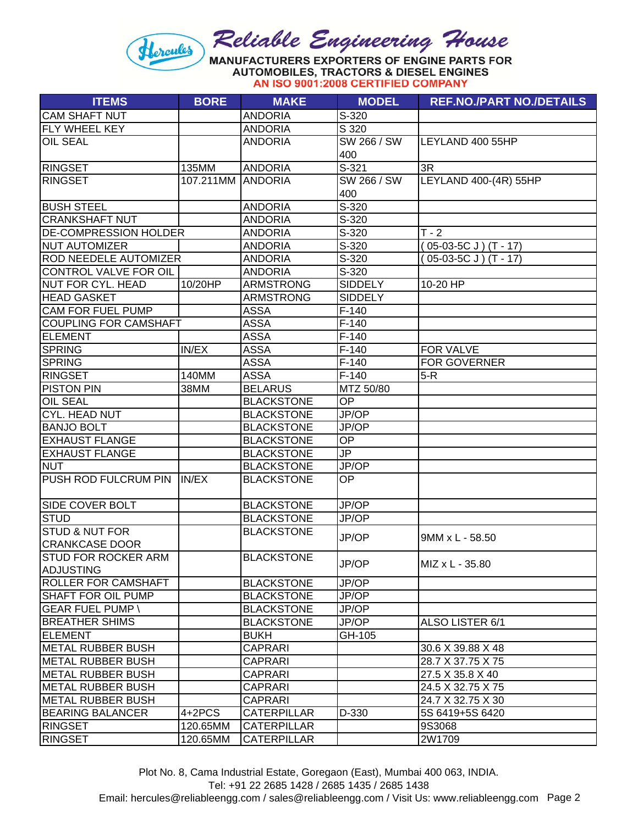**AUTOMOBILES, TRACTORS & DIESEL ENGINES** AN ISO 9001:2008 CERTIFIED COMPANY

| <b>CAM SHAFT NUT</b><br><b>ANDORIA</b><br>S-320<br><b>FLY WHEEL KEY</b><br>S 320<br><b>ANDORIA</b><br><b>OIL SEAL</b><br>SW 266 / SW<br>LEYLAND 400 55HP<br><b>ANDORIA</b><br>400 |  |
|-----------------------------------------------------------------------------------------------------------------------------------------------------------------------------------|--|
|                                                                                                                                                                                   |  |
|                                                                                                                                                                                   |  |
|                                                                                                                                                                                   |  |
|                                                                                                                                                                                   |  |
| $S-321$<br><b>RINGSET</b><br>135MM<br><b>ANDORIA</b><br>3R                                                                                                                        |  |
| SW 266 / SW<br>LEYLAND 400-(4R) 55HP<br><b>RINGSET</b><br>107.211MM<br><b>ANDORIA</b>                                                                                             |  |
| 400                                                                                                                                                                               |  |
| S-320<br><b>BUSH STEEL</b><br><b>ANDORIA</b>                                                                                                                                      |  |
| S-320<br><b>CRANKSHAFT NUT</b><br><b>ANDORIA</b>                                                                                                                                  |  |
| $T - 2$<br>S-320<br><b>DE-COMPRESSION HOLDER</b><br><b>ANDORIA</b>                                                                                                                |  |
| $S-320$<br><b>NUT AUTOMIZER</b><br><b>ANDORIA</b><br>$(05-03-5C J) (T - 17)$                                                                                                      |  |
| <b>ROD NEEDELE AUTOMIZER</b><br><b>ANDORIA</b><br>S-320<br>$(05-03-5C J) (T - 17)$                                                                                                |  |
| CONTROL VALVE FOR OIL<br><b>ANDORIA</b><br>S-320                                                                                                                                  |  |
| <b>NUT FOR CYL. HEAD</b><br>10/20HP<br><b>ARMSTRONG</b><br><b>SIDDELY</b><br>10-20 HP                                                                                             |  |
| <b>HEAD GASKET</b><br><b>SIDDELY</b><br><b>ARMSTRONG</b>                                                                                                                          |  |
| <b>CAM FOR FUEL PUMP</b><br>$F-140$<br><b>ASSA</b>                                                                                                                                |  |
| <b>COUPLING FOR CAMSHAFT</b><br>$F-140$<br><b>ASSA</b>                                                                                                                            |  |
| <b>ELEMENT</b><br><b>ASSA</b><br>$F-140$                                                                                                                                          |  |
| <b>SPRING</b><br>IN/EX<br><b>ASSA</b><br>$F-140$<br>FOR VALVE                                                                                                                     |  |
| <b>ASSA</b><br>$F-140$<br>FOR GOVERNER<br><b>SPRING</b>                                                                                                                           |  |
| <b>RINGSET</b><br><b>ASSA</b><br>$F-140$<br>$5-R$<br>140MM                                                                                                                        |  |
| MTZ 50/80<br><b>PISTON PIN</b><br>38MM<br><b>BELARUS</b>                                                                                                                          |  |
| OP<br><b>OIL SEAL</b><br><b>BLACKSTONE</b>                                                                                                                                        |  |
| JP/OP<br>CYL. HEAD NUT<br><b>BLACKSTONE</b>                                                                                                                                       |  |
| <b>BANJO BOLT</b><br><b>BLACKSTONE</b><br>JP/OP                                                                                                                                   |  |
| <b>EXHAUST FLANGE</b><br><b>BLACKSTONE</b><br>OP                                                                                                                                  |  |
| JP<br><b>EXHAUST FLANGE</b><br><b>BLACKSTONE</b>                                                                                                                                  |  |
| JP/OP<br><b>NUT</b><br><b>BLACKSTONE</b>                                                                                                                                          |  |
| PUSH ROD FULCRUM PIN<br>OP<br>IN/EX<br><b>BLACKSTONE</b>                                                                                                                          |  |
| <b>BLACKSTONE</b><br>JP/OP<br><b>SIDE COVER BOLT</b>                                                                                                                              |  |
| <b>STUD</b><br>JP/OP<br><b>BLACKSTONE</b>                                                                                                                                         |  |
| <b>STUD &amp; NUT FOR</b><br><b>BLACKSTONE</b>                                                                                                                                    |  |
| JP/OP<br>9MM x L - 58.50<br><b>CRANKCASE DOOR</b>                                                                                                                                 |  |
| <b>ISTUD FOR ROCKER ARM</b><br><b>BLACKSTONE</b><br>JP/OP<br>MIZ x L - 35.80<br>ADJUSTING                                                                                         |  |
| JP/OP<br><b>ROLLER FOR CAMSHAFT</b><br><b>BLACKSTONE</b>                                                                                                                          |  |
| <b>BLACKSTONE</b><br>JP/OP<br><b>SHAFT FOR OIL PUMP</b>                                                                                                                           |  |
| <b>GEAR FUEL PUMP \</b><br>JP/OP<br><b>BLACKSTONE</b>                                                                                                                             |  |
| <b>BREATHER SHIMS</b><br><b>BLACKSTONE</b><br>JP/OP<br>ALSO LISTER 6/1                                                                                                            |  |
| <b>ELEMENT</b><br><b>BUKH</b><br>GH-105                                                                                                                                           |  |
| METAL RUBBER BUSH<br><b>CAPRARI</b><br>30.6 X 39.88 X 48                                                                                                                          |  |
| METAL RUBBER BUSH<br><b>CAPRARI</b><br>28.7 X 37.75 X 75                                                                                                                          |  |
| METAL RUBBER BUSH<br><b>CAPRARI</b><br>27.5 X 35.8 X 40                                                                                                                           |  |
| <b>METAL RUBBER BUSH</b><br><b>CAPRARI</b><br>24.5 X 32.75 X 75                                                                                                                   |  |
| METAL RUBBER BUSH<br>CAPRARI<br>24.7 X 32.75 X 30                                                                                                                                 |  |
| <b>BEARING BALANCER</b><br>4+2PCS<br>D-330<br><b>CATERPILLAR</b><br>5S 6419+5S 6420                                                                                               |  |
| <b>RINGSET</b><br>120.65MM<br><b>CATERPILLAR</b><br>9S3068                                                                                                                        |  |
| <b>RINGSET</b><br><b>CATERPILLAR</b><br>2W1709<br>120.65MM                                                                                                                        |  |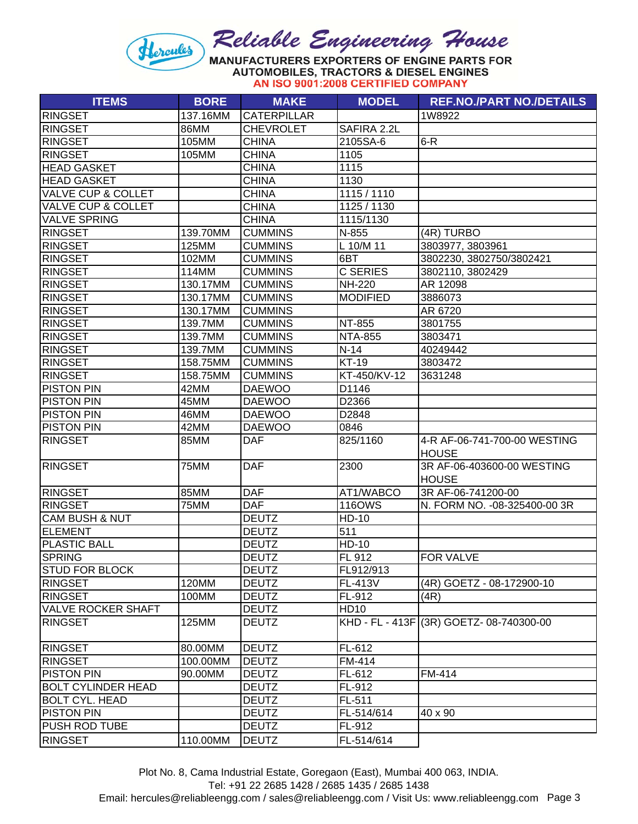**AUTOMOBILES, TRACTORS & DIESEL ENGINES** AN ISO 9001:2008 CERTIFIED COMPANY

| <b>ITEMS</b>                  | <b>BORE</b> | <b>MAKE</b>        | <b>MODEL</b>    | <b>REF.NO./PART NO./DETAILS</b>              |
|-------------------------------|-------------|--------------------|-----------------|----------------------------------------------|
| <b>RINGSET</b>                | 137.16MM    | <b>CATERPILLAR</b> |                 | 1W8922                                       |
| <b>RINGSET</b>                | <b>86MM</b> | <b>CHEVROLET</b>   | SAFIRA 2.2L     |                                              |
| <b>RINGSET</b>                | 105MM       | <b>CHINA</b>       | 2105SA-6        | $6-R$                                        |
| <b>RINGSET</b>                | 105MM       | <b>CHINA</b>       | 1105            |                                              |
| <b>HEAD GASKET</b>            |             | <b>CHINA</b>       | 1115            |                                              |
| <b>HEAD GASKET</b>            |             | <b>CHINA</b>       | 1130            |                                              |
| <b>VALVE CUP &amp; COLLET</b> |             | <b>CHINA</b>       | 1115 / 1110     |                                              |
| <b>VALVE CUP &amp; COLLET</b> |             | <b>CHINA</b>       | 1125 / 1130     |                                              |
| <b>VALVE SPRING</b>           |             | <b>CHINA</b>       | 1115/1130       |                                              |
| <b>RINGSET</b>                | 139.70MM    | <b>CUMMINS</b>     | N-855           | (4R) TURBO                                   |
| <b>RINGSET</b>                | 125MM       | <b>CUMMINS</b>     | L 10/M 11       | 3803977, 3803961                             |
| <b>RINGSET</b>                | 102MM       | <b>CUMMINS</b>     | 6BT             | 3802230, 3802750/3802421                     |
| <b>RINGSET</b>                | 114MM       | <b>CUMMINS</b>     | <b>C SERIES</b> | 3802110, 3802429                             |
| <b>RINGSET</b>                | 130.17MM    | <b>CUMMINS</b>     | <b>NH-220</b>   | AR 12098                                     |
| <b>RINGSET</b>                | 130.17MM    | <b>CUMMINS</b>     | <b>MODIFIED</b> | 3886073                                      |
| <b>RINGSET</b>                | 130.17MM    | <b>CUMMINS</b>     |                 | AR 6720                                      |
| <b>RINGSET</b>                | 139.7MM     | <b>CUMMINS</b>     | <b>NT-855</b>   | 3801755                                      |
| <b>RINGSET</b>                | 139.7MM     | <b>CUMMINS</b>     | <b>NTA-855</b>  | 3803471                                      |
| <b>RINGSET</b>                | 139.7MM     | <b>CUMMINS</b>     | $N-14$          | 40249442                                     |
| <b>RINGSET</b>                | 158.75MM    | <b>CUMMINS</b>     | <b>KT-19</b>    | 3803472                                      |
| <b>RINGSET</b>                | 158.75MM    | <b>CUMMINS</b>     | KT-450/KV-12    | 3631248                                      |
| <b>PISTON PIN</b>             | 42MM        | <b>DAEWOO</b>      | D1146           |                                              |
| <b>PISTON PIN</b>             | 45MM        | <b>DAEWOO</b>      | D2366           |                                              |
| <b>PISTON PIN</b>             | 46MM        | <b>DAEWOO</b>      | D2848           |                                              |
| <b>PISTON PIN</b>             | 42MM        | <b>DAEWOO</b>      | 0846            |                                              |
| <b>RINGSET</b>                | 85MM        | <b>DAF</b>         | 825/1160        | 4-R AF-06-741-700-00 WESTING<br><b>HOUSE</b> |
| <b>RINGSET</b>                | 75MM        | <b>DAF</b>         | 2300            | 3R AF-06-403600-00 WESTING<br><b>HOUSE</b>   |
| <b>RINGSET</b>                | <b>85MM</b> | <b>DAF</b>         | AT1/WABCO       | 3R AF-06-741200-00                           |
| <b>RINGSET</b>                | 75MM        | <b>DAF</b>         | <b>116OWS</b>   | N. FORM NO. - 08-325400-00 3R                |
| <b>CAM BUSH &amp; NUT</b>     |             | <b>DEUTZ</b>       | <b>HD-10</b>    |                                              |
| <b>ELEMENT</b>                |             | <b>DEUTZ</b>       | 511             |                                              |
| <b>PLASTIC BALL</b>           |             | <b>DEUTZ</b>       | HD-10           |                                              |
| <b>SPRING</b>                 |             | <b>DEUTZ</b>       | FL 912          | <b>FOR VALVE</b>                             |
| <b>STUD FOR BLOCK</b>         |             | <b>DEUTZ</b>       | FL912/913       |                                              |
| <b>RINGSET</b>                | 120MM       | <b>DEUTZ</b>       | FL-413V         | (4R) GOETZ - 08-172900-10                    |
| <b>RINGSET</b>                | 100MM       | <b>DEUTZ</b>       | FL-912          | (4R)                                         |
| <b>VALVE ROCKER SHAFT</b>     |             | <b>DEUTZ</b>       | <b>HD10</b>     |                                              |
| <b>RINGSET</b>                | 125MM       | <b>DEUTZ</b>       |                 | KHD - FL - 413F (3R) GOETZ- 08-740300-00     |
| <b>RINGSET</b>                | 80.00MM     | <b>DEUTZ</b>       | FL-612          |                                              |
| <b>RINGSET</b>                | 100.00MM    | <b>DEUTZ</b>       | FM-414          |                                              |
| <b>PISTON PIN</b>             | 90.00MM     | <b>DEUTZ</b>       | FL-612          | FM-414                                       |
| <b>BOLT CYLINDER HEAD</b>     |             | <b>DEUTZ</b>       | FL-912          |                                              |
| <b>BOLT CYL. HEAD</b>         |             | <b>DEUTZ</b>       | FL-511          |                                              |
| <b>PISTON PIN</b>             |             | <b>DEUTZ</b>       | FL-514/614      | 40 x 90                                      |
| <b>PUSH ROD TUBE</b>          |             | <b>DEUTZ</b>       | FL-912          |                                              |
| <b>RINGSET</b>                | 110.00MM    | <b>DEUTZ</b>       | FL-514/614      |                                              |

Plot No. 8, Cama Industrial Estate, Goregaon (East), Mumbai 400 063, INDIA.

Tel: +91 22 2685 1428 / 2685 1435 / 2685 1438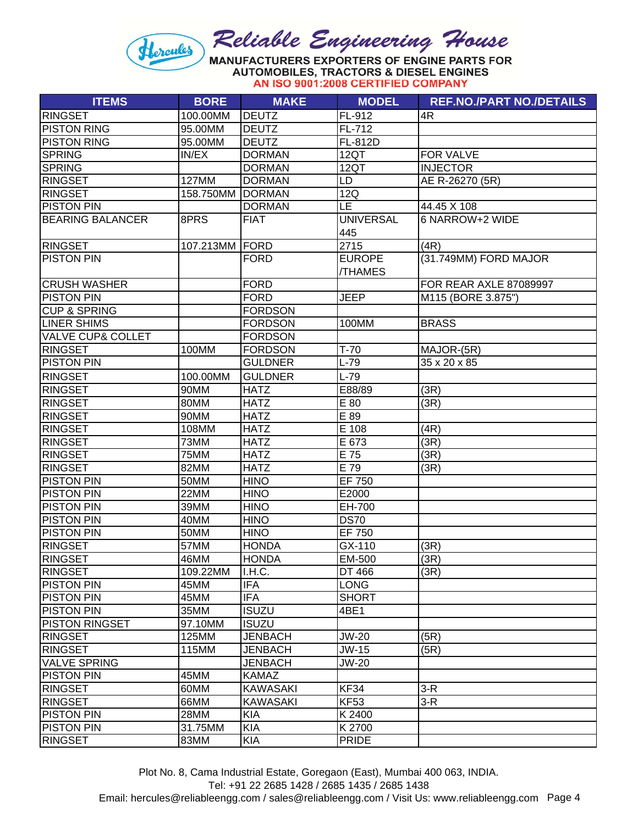**AUTOMOBILES, TRACTORS & DIESEL ENGINES** AN ISO 9001:2008 CERTIFIED COMPANY

| FL-912<br>100.00MM<br><b>DEUTZ</b><br>4R<br>95.00MM<br>FL-712<br><b>DEUTZ</b><br>95.00MM<br><b>DEUTZ</b><br>FL-812D<br><b>SPRING</b><br>IN/EX<br><b>DORMAN</b><br>12QT<br><b>FOR VALVE</b><br><b>DORMAN</b><br>12QT<br><b>INJECTOR</b><br>127MM<br><b>DORMAN</b><br>LD<br>AE R-26270 (5R)<br><b>DORMAN</b><br>12Q<br>158.750MM<br><b>LE</b><br><b>DORMAN</b><br>44.45 X 108<br><b>UNIVERSAL</b><br>6 NARROW+2 WIDE<br>8PRS<br><b>FIAT</b><br>445<br>2715<br>107.213MM FORD<br>(4R)<br>(31.749MM) FORD MAJOR<br><b>FORD</b><br><b>EUROPE</b><br>/THAMES<br><b>FORD</b><br>FOR REAR AXLE 87089997<br><b>FORD</b><br><b>JEEP</b><br>M115 (BORE 3.875")<br><b>CUP &amp; SPRING</b><br><b>FORDSON</b><br><b>FORDSON</b><br>100MM<br><b>BRASS</b><br><b>FORDSON</b><br>100MM<br><b>FORDSON</b><br>$T-70$<br>MAJOR-(5R)<br><b>GULDNER</b><br>$L-79$<br>$35 \times 20 \times 85$<br>$L-79$<br><b>RINGSET</b><br>100.00MM<br><b>GULDNER</b><br><b>RINGSET</b><br>90MM<br><b>HATZ</b><br>E88/89<br>(3R)<br>(3R)<br>80MM<br><b>HATZ</b><br>E 80<br><b>RINGSET</b><br>90MM<br><b>HATZ</b><br>E 89<br><b>RINGSET</b><br>E 108<br><b>RINGSET</b><br>108MM<br><b>HATZ</b><br>(4R)<br>E 673<br>(3R)<br><b>RINGSET</b><br>73MM<br><b>HATZ</b><br>E 75<br>(3R)<br><b>RINGSET</b><br>75MM<br><b>HATZ</b><br><b>RINGSET</b><br>E 79<br>82MM<br><b>HATZ</b><br>(3R)<br><b>PISTON PIN</b><br>EF 750<br>50MM<br><b>HINO</b><br><b>PISTON PIN</b><br>22MM<br><b>HINO</b><br>E2000<br><b>HINO</b><br>EH-700<br>39MM<br><b>PISTON PIN</b><br><b>HINO</b><br><b>DS70</b><br>40MM<br><b>EF 750</b><br><b>PISTON PIN</b><br><b>HINO</b><br>50MM<br>GX-110<br>57MM<br><b>HONDA</b><br>(3R)<br>EM-500<br>(3R)<br>46MM<br><b>HONDA</b><br><b>RINGSET</b><br>109.22MM<br>I.H.C.<br>DT 466<br>(3R)<br><b>IFA</b><br>45MM<br><b>LONG</b><br><b>IFA</b><br>45MM<br><b>SHORT</b><br>35MM<br><b>ISUZU</b><br>4BE1<br>97.10MM<br><b>ISUZU</b><br>125MM<br><b>JENBACH</b><br><b>JW-20</b><br>(5R)<br>115MM<br><b>JENBACH</b><br>JW-15<br>(5R)<br><b>JW-20</b><br><b>JENBACH</b><br>45MM<br><b>KAMAZ</b><br>60MM<br><b>KF34</b><br>$3-R$<br><b>KAWASAKI</b><br><b>KF53</b><br>66MM<br>$3-R$<br><b>KAWASAKI</b><br>K 2400<br>28MM<br><b>KIA</b><br><b>KIA</b><br>K 2700<br>31.75MM<br><b>PRIDE</b> | <b>ITEMS</b>                 | <b>BORE</b> | <b>MAKE</b> | <b>MODEL</b> | <b>REF.NO./PART NO./DETAILS</b> |
|----------------------------------------------------------------------------------------------------------------------------------------------------------------------------------------------------------------------------------------------------------------------------------------------------------------------------------------------------------------------------------------------------------------------------------------------------------------------------------------------------------------------------------------------------------------------------------------------------------------------------------------------------------------------------------------------------------------------------------------------------------------------------------------------------------------------------------------------------------------------------------------------------------------------------------------------------------------------------------------------------------------------------------------------------------------------------------------------------------------------------------------------------------------------------------------------------------------------------------------------------------------------------------------------------------------------------------------------------------------------------------------------------------------------------------------------------------------------------------------------------------------------------------------------------------------------------------------------------------------------------------------------------------------------------------------------------------------------------------------------------------------------------------------------------------------------------------------------------------------------------------------------------------------------------------------------------------------------------------------------------------------------------------------------------------------------------------------------------------------------------------------------------------------------------------------------------------------------------------------------------------|------------------------------|-------------|-------------|--------------|---------------------------------|
|                                                                                                                                                                                                                                                                                                                                                                                                                                                                                                                                                                                                                                                                                                                                                                                                                                                                                                                                                                                                                                                                                                                                                                                                                                                                                                                                                                                                                                                                                                                                                                                                                                                                                                                                                                                                                                                                                                                                                                                                                                                                                                                                                                                                                                                          | <b>RINGSET</b>               |             |             |              |                                 |
|                                                                                                                                                                                                                                                                                                                                                                                                                                                                                                                                                                                                                                                                                                                                                                                                                                                                                                                                                                                                                                                                                                                                                                                                                                                                                                                                                                                                                                                                                                                                                                                                                                                                                                                                                                                                                                                                                                                                                                                                                                                                                                                                                                                                                                                          | <b>PISTON RING</b>           |             |             |              |                                 |
|                                                                                                                                                                                                                                                                                                                                                                                                                                                                                                                                                                                                                                                                                                                                                                                                                                                                                                                                                                                                                                                                                                                                                                                                                                                                                                                                                                                                                                                                                                                                                                                                                                                                                                                                                                                                                                                                                                                                                                                                                                                                                                                                                                                                                                                          | <b>PISTON RING</b>           |             |             |              |                                 |
|                                                                                                                                                                                                                                                                                                                                                                                                                                                                                                                                                                                                                                                                                                                                                                                                                                                                                                                                                                                                                                                                                                                                                                                                                                                                                                                                                                                                                                                                                                                                                                                                                                                                                                                                                                                                                                                                                                                                                                                                                                                                                                                                                                                                                                                          |                              |             |             |              |                                 |
|                                                                                                                                                                                                                                                                                                                                                                                                                                                                                                                                                                                                                                                                                                                                                                                                                                                                                                                                                                                                                                                                                                                                                                                                                                                                                                                                                                                                                                                                                                                                                                                                                                                                                                                                                                                                                                                                                                                                                                                                                                                                                                                                                                                                                                                          | <b>SPRING</b>                |             |             |              |                                 |
|                                                                                                                                                                                                                                                                                                                                                                                                                                                                                                                                                                                                                                                                                                                                                                                                                                                                                                                                                                                                                                                                                                                                                                                                                                                                                                                                                                                                                                                                                                                                                                                                                                                                                                                                                                                                                                                                                                                                                                                                                                                                                                                                                                                                                                                          | <b>RINGSET</b>               |             |             |              |                                 |
|                                                                                                                                                                                                                                                                                                                                                                                                                                                                                                                                                                                                                                                                                                                                                                                                                                                                                                                                                                                                                                                                                                                                                                                                                                                                                                                                                                                                                                                                                                                                                                                                                                                                                                                                                                                                                                                                                                                                                                                                                                                                                                                                                                                                                                                          | <b>RINGSET</b>               |             |             |              |                                 |
|                                                                                                                                                                                                                                                                                                                                                                                                                                                                                                                                                                                                                                                                                                                                                                                                                                                                                                                                                                                                                                                                                                                                                                                                                                                                                                                                                                                                                                                                                                                                                                                                                                                                                                                                                                                                                                                                                                                                                                                                                                                                                                                                                                                                                                                          | <b>PISTON PIN</b>            |             |             |              |                                 |
|                                                                                                                                                                                                                                                                                                                                                                                                                                                                                                                                                                                                                                                                                                                                                                                                                                                                                                                                                                                                                                                                                                                                                                                                                                                                                                                                                                                                                                                                                                                                                                                                                                                                                                                                                                                                                                                                                                                                                                                                                                                                                                                                                                                                                                                          | <b>BEARING BALANCER</b>      |             |             |              |                                 |
|                                                                                                                                                                                                                                                                                                                                                                                                                                                                                                                                                                                                                                                                                                                                                                                                                                                                                                                                                                                                                                                                                                                                                                                                                                                                                                                                                                                                                                                                                                                                                                                                                                                                                                                                                                                                                                                                                                                                                                                                                                                                                                                                                                                                                                                          |                              |             |             |              |                                 |
|                                                                                                                                                                                                                                                                                                                                                                                                                                                                                                                                                                                                                                                                                                                                                                                                                                                                                                                                                                                                                                                                                                                                                                                                                                                                                                                                                                                                                                                                                                                                                                                                                                                                                                                                                                                                                                                                                                                                                                                                                                                                                                                                                                                                                                                          | RINGSET                      |             |             |              |                                 |
|                                                                                                                                                                                                                                                                                                                                                                                                                                                                                                                                                                                                                                                                                                                                                                                                                                                                                                                                                                                                                                                                                                                                                                                                                                                                                                                                                                                                                                                                                                                                                                                                                                                                                                                                                                                                                                                                                                                                                                                                                                                                                                                                                                                                                                                          | <b>PISTON PIN</b>            |             |             |              |                                 |
|                                                                                                                                                                                                                                                                                                                                                                                                                                                                                                                                                                                                                                                                                                                                                                                                                                                                                                                                                                                                                                                                                                                                                                                                                                                                                                                                                                                                                                                                                                                                                                                                                                                                                                                                                                                                                                                                                                                                                                                                                                                                                                                                                                                                                                                          |                              |             |             |              |                                 |
|                                                                                                                                                                                                                                                                                                                                                                                                                                                                                                                                                                                                                                                                                                                                                                                                                                                                                                                                                                                                                                                                                                                                                                                                                                                                                                                                                                                                                                                                                                                                                                                                                                                                                                                                                                                                                                                                                                                                                                                                                                                                                                                                                                                                                                                          | <b>CRUSH WASHER</b>          |             |             |              |                                 |
|                                                                                                                                                                                                                                                                                                                                                                                                                                                                                                                                                                                                                                                                                                                                                                                                                                                                                                                                                                                                                                                                                                                                                                                                                                                                                                                                                                                                                                                                                                                                                                                                                                                                                                                                                                                                                                                                                                                                                                                                                                                                                                                                                                                                                                                          | <b>PISTON PIN</b>            |             |             |              |                                 |
|                                                                                                                                                                                                                                                                                                                                                                                                                                                                                                                                                                                                                                                                                                                                                                                                                                                                                                                                                                                                                                                                                                                                                                                                                                                                                                                                                                                                                                                                                                                                                                                                                                                                                                                                                                                                                                                                                                                                                                                                                                                                                                                                                                                                                                                          |                              |             |             |              |                                 |
|                                                                                                                                                                                                                                                                                                                                                                                                                                                                                                                                                                                                                                                                                                                                                                                                                                                                                                                                                                                                                                                                                                                                                                                                                                                                                                                                                                                                                                                                                                                                                                                                                                                                                                                                                                                                                                                                                                                                                                                                                                                                                                                                                                                                                                                          | <b>LINER SHIMS</b>           |             |             |              |                                 |
|                                                                                                                                                                                                                                                                                                                                                                                                                                                                                                                                                                                                                                                                                                                                                                                                                                                                                                                                                                                                                                                                                                                                                                                                                                                                                                                                                                                                                                                                                                                                                                                                                                                                                                                                                                                                                                                                                                                                                                                                                                                                                                                                                                                                                                                          | <b>VALVE CUP&amp; COLLET</b> |             |             |              |                                 |
|                                                                                                                                                                                                                                                                                                                                                                                                                                                                                                                                                                                                                                                                                                                                                                                                                                                                                                                                                                                                                                                                                                                                                                                                                                                                                                                                                                                                                                                                                                                                                                                                                                                                                                                                                                                                                                                                                                                                                                                                                                                                                                                                                                                                                                                          | <b>RINGSET</b>               |             |             |              |                                 |
|                                                                                                                                                                                                                                                                                                                                                                                                                                                                                                                                                                                                                                                                                                                                                                                                                                                                                                                                                                                                                                                                                                                                                                                                                                                                                                                                                                                                                                                                                                                                                                                                                                                                                                                                                                                                                                                                                                                                                                                                                                                                                                                                                                                                                                                          | <b>PISTON PIN</b>            |             |             |              |                                 |
|                                                                                                                                                                                                                                                                                                                                                                                                                                                                                                                                                                                                                                                                                                                                                                                                                                                                                                                                                                                                                                                                                                                                                                                                                                                                                                                                                                                                                                                                                                                                                                                                                                                                                                                                                                                                                                                                                                                                                                                                                                                                                                                                                                                                                                                          |                              |             |             |              |                                 |
|                                                                                                                                                                                                                                                                                                                                                                                                                                                                                                                                                                                                                                                                                                                                                                                                                                                                                                                                                                                                                                                                                                                                                                                                                                                                                                                                                                                                                                                                                                                                                                                                                                                                                                                                                                                                                                                                                                                                                                                                                                                                                                                                                                                                                                                          |                              |             |             |              |                                 |
|                                                                                                                                                                                                                                                                                                                                                                                                                                                                                                                                                                                                                                                                                                                                                                                                                                                                                                                                                                                                                                                                                                                                                                                                                                                                                                                                                                                                                                                                                                                                                                                                                                                                                                                                                                                                                                                                                                                                                                                                                                                                                                                                                                                                                                                          |                              |             |             |              |                                 |
|                                                                                                                                                                                                                                                                                                                                                                                                                                                                                                                                                                                                                                                                                                                                                                                                                                                                                                                                                                                                                                                                                                                                                                                                                                                                                                                                                                                                                                                                                                                                                                                                                                                                                                                                                                                                                                                                                                                                                                                                                                                                                                                                                                                                                                                          |                              |             |             |              |                                 |
|                                                                                                                                                                                                                                                                                                                                                                                                                                                                                                                                                                                                                                                                                                                                                                                                                                                                                                                                                                                                                                                                                                                                                                                                                                                                                                                                                                                                                                                                                                                                                                                                                                                                                                                                                                                                                                                                                                                                                                                                                                                                                                                                                                                                                                                          |                              |             |             |              |                                 |
|                                                                                                                                                                                                                                                                                                                                                                                                                                                                                                                                                                                                                                                                                                                                                                                                                                                                                                                                                                                                                                                                                                                                                                                                                                                                                                                                                                                                                                                                                                                                                                                                                                                                                                                                                                                                                                                                                                                                                                                                                                                                                                                                                                                                                                                          |                              |             |             |              |                                 |
|                                                                                                                                                                                                                                                                                                                                                                                                                                                                                                                                                                                                                                                                                                                                                                                                                                                                                                                                                                                                                                                                                                                                                                                                                                                                                                                                                                                                                                                                                                                                                                                                                                                                                                                                                                                                                                                                                                                                                                                                                                                                                                                                                                                                                                                          |                              |             |             |              |                                 |
|                                                                                                                                                                                                                                                                                                                                                                                                                                                                                                                                                                                                                                                                                                                                                                                                                                                                                                                                                                                                                                                                                                                                                                                                                                                                                                                                                                                                                                                                                                                                                                                                                                                                                                                                                                                                                                                                                                                                                                                                                                                                                                                                                                                                                                                          |                              |             |             |              |                                 |
|                                                                                                                                                                                                                                                                                                                                                                                                                                                                                                                                                                                                                                                                                                                                                                                                                                                                                                                                                                                                                                                                                                                                                                                                                                                                                                                                                                                                                                                                                                                                                                                                                                                                                                                                                                                                                                                                                                                                                                                                                                                                                                                                                                                                                                                          |                              |             |             |              |                                 |
|                                                                                                                                                                                                                                                                                                                                                                                                                                                                                                                                                                                                                                                                                                                                                                                                                                                                                                                                                                                                                                                                                                                                                                                                                                                                                                                                                                                                                                                                                                                                                                                                                                                                                                                                                                                                                                                                                                                                                                                                                                                                                                                                                                                                                                                          |                              |             |             |              |                                 |
|                                                                                                                                                                                                                                                                                                                                                                                                                                                                                                                                                                                                                                                                                                                                                                                                                                                                                                                                                                                                                                                                                                                                                                                                                                                                                                                                                                                                                                                                                                                                                                                                                                                                                                                                                                                                                                                                                                                                                                                                                                                                                                                                                                                                                                                          | <b>PISTON PIN</b>            |             |             |              |                                 |
|                                                                                                                                                                                                                                                                                                                                                                                                                                                                                                                                                                                                                                                                                                                                                                                                                                                                                                                                                                                                                                                                                                                                                                                                                                                                                                                                                                                                                                                                                                                                                                                                                                                                                                                                                                                                                                                                                                                                                                                                                                                                                                                                                                                                                                                          |                              |             |             |              |                                 |
|                                                                                                                                                                                                                                                                                                                                                                                                                                                                                                                                                                                                                                                                                                                                                                                                                                                                                                                                                                                                                                                                                                                                                                                                                                                                                                                                                                                                                                                                                                                                                                                                                                                                                                                                                                                                                                                                                                                                                                                                                                                                                                                                                                                                                                                          |                              |             |             |              |                                 |
|                                                                                                                                                                                                                                                                                                                                                                                                                                                                                                                                                                                                                                                                                                                                                                                                                                                                                                                                                                                                                                                                                                                                                                                                                                                                                                                                                                                                                                                                                                                                                                                                                                                                                                                                                                                                                                                                                                                                                                                                                                                                                                                                                                                                                                                          | <b>RINGSET</b>               |             |             |              |                                 |
|                                                                                                                                                                                                                                                                                                                                                                                                                                                                                                                                                                                                                                                                                                                                                                                                                                                                                                                                                                                                                                                                                                                                                                                                                                                                                                                                                                                                                                                                                                                                                                                                                                                                                                                                                                                                                                                                                                                                                                                                                                                                                                                                                                                                                                                          | <b>RINGSET</b>               |             |             |              |                                 |
|                                                                                                                                                                                                                                                                                                                                                                                                                                                                                                                                                                                                                                                                                                                                                                                                                                                                                                                                                                                                                                                                                                                                                                                                                                                                                                                                                                                                                                                                                                                                                                                                                                                                                                                                                                                                                                                                                                                                                                                                                                                                                                                                                                                                                                                          |                              |             |             |              |                                 |
|                                                                                                                                                                                                                                                                                                                                                                                                                                                                                                                                                                                                                                                                                                                                                                                                                                                                                                                                                                                                                                                                                                                                                                                                                                                                                                                                                                                                                                                                                                                                                                                                                                                                                                                                                                                                                                                                                                                                                                                                                                                                                                                                                                                                                                                          | <b>PISTON PIN</b>            |             |             |              |                                 |
|                                                                                                                                                                                                                                                                                                                                                                                                                                                                                                                                                                                                                                                                                                                                                                                                                                                                                                                                                                                                                                                                                                                                                                                                                                                                                                                                                                                                                                                                                                                                                                                                                                                                                                                                                                                                                                                                                                                                                                                                                                                                                                                                                                                                                                                          | <b>PISTON PIN</b>            |             |             |              |                                 |
|                                                                                                                                                                                                                                                                                                                                                                                                                                                                                                                                                                                                                                                                                                                                                                                                                                                                                                                                                                                                                                                                                                                                                                                                                                                                                                                                                                                                                                                                                                                                                                                                                                                                                                                                                                                                                                                                                                                                                                                                                                                                                                                                                                                                                                                          | <b>PISTON PIN</b>            |             |             |              |                                 |
|                                                                                                                                                                                                                                                                                                                                                                                                                                                                                                                                                                                                                                                                                                                                                                                                                                                                                                                                                                                                                                                                                                                                                                                                                                                                                                                                                                                                                                                                                                                                                                                                                                                                                                                                                                                                                                                                                                                                                                                                                                                                                                                                                                                                                                                          | <b>PISTON RINGSET</b>        |             |             |              |                                 |
|                                                                                                                                                                                                                                                                                                                                                                                                                                                                                                                                                                                                                                                                                                                                                                                                                                                                                                                                                                                                                                                                                                                                                                                                                                                                                                                                                                                                                                                                                                                                                                                                                                                                                                                                                                                                                                                                                                                                                                                                                                                                                                                                                                                                                                                          | <b>RINGSET</b>               |             |             |              |                                 |
|                                                                                                                                                                                                                                                                                                                                                                                                                                                                                                                                                                                                                                                                                                                                                                                                                                                                                                                                                                                                                                                                                                                                                                                                                                                                                                                                                                                                                                                                                                                                                                                                                                                                                                                                                                                                                                                                                                                                                                                                                                                                                                                                                                                                                                                          | <b>RINGSET</b>               |             |             |              |                                 |
|                                                                                                                                                                                                                                                                                                                                                                                                                                                                                                                                                                                                                                                                                                                                                                                                                                                                                                                                                                                                                                                                                                                                                                                                                                                                                                                                                                                                                                                                                                                                                                                                                                                                                                                                                                                                                                                                                                                                                                                                                                                                                                                                                                                                                                                          | <b>VALVE SPRING</b>          |             |             |              |                                 |
|                                                                                                                                                                                                                                                                                                                                                                                                                                                                                                                                                                                                                                                                                                                                                                                                                                                                                                                                                                                                                                                                                                                                                                                                                                                                                                                                                                                                                                                                                                                                                                                                                                                                                                                                                                                                                                                                                                                                                                                                                                                                                                                                                                                                                                                          | <b>PISTON PIN</b>            |             |             |              |                                 |
|                                                                                                                                                                                                                                                                                                                                                                                                                                                                                                                                                                                                                                                                                                                                                                                                                                                                                                                                                                                                                                                                                                                                                                                                                                                                                                                                                                                                                                                                                                                                                                                                                                                                                                                                                                                                                                                                                                                                                                                                                                                                                                                                                                                                                                                          | <b>RINGSET</b>               |             |             |              |                                 |
|                                                                                                                                                                                                                                                                                                                                                                                                                                                                                                                                                                                                                                                                                                                                                                                                                                                                                                                                                                                                                                                                                                                                                                                                                                                                                                                                                                                                                                                                                                                                                                                                                                                                                                                                                                                                                                                                                                                                                                                                                                                                                                                                                                                                                                                          | <b>RINGSET</b>               |             |             |              |                                 |
|                                                                                                                                                                                                                                                                                                                                                                                                                                                                                                                                                                                                                                                                                                                                                                                                                                                                                                                                                                                                                                                                                                                                                                                                                                                                                                                                                                                                                                                                                                                                                                                                                                                                                                                                                                                                                                                                                                                                                                                                                                                                                                                                                                                                                                                          | <b>PISTON PIN</b>            |             |             |              |                                 |
|                                                                                                                                                                                                                                                                                                                                                                                                                                                                                                                                                                                                                                                                                                                                                                                                                                                                                                                                                                                                                                                                                                                                                                                                                                                                                                                                                                                                                                                                                                                                                                                                                                                                                                                                                                                                                                                                                                                                                                                                                                                                                                                                                                                                                                                          | <b>PISTON PIN</b>            |             |             |              |                                 |
|                                                                                                                                                                                                                                                                                                                                                                                                                                                                                                                                                                                                                                                                                                                                                                                                                                                                                                                                                                                                                                                                                                                                                                                                                                                                                                                                                                                                                                                                                                                                                                                                                                                                                                                                                                                                                                                                                                                                                                                                                                                                                                                                                                                                                                                          | <b>RINGSET</b>               | 83MM        | <b>KIA</b>  |              |                                 |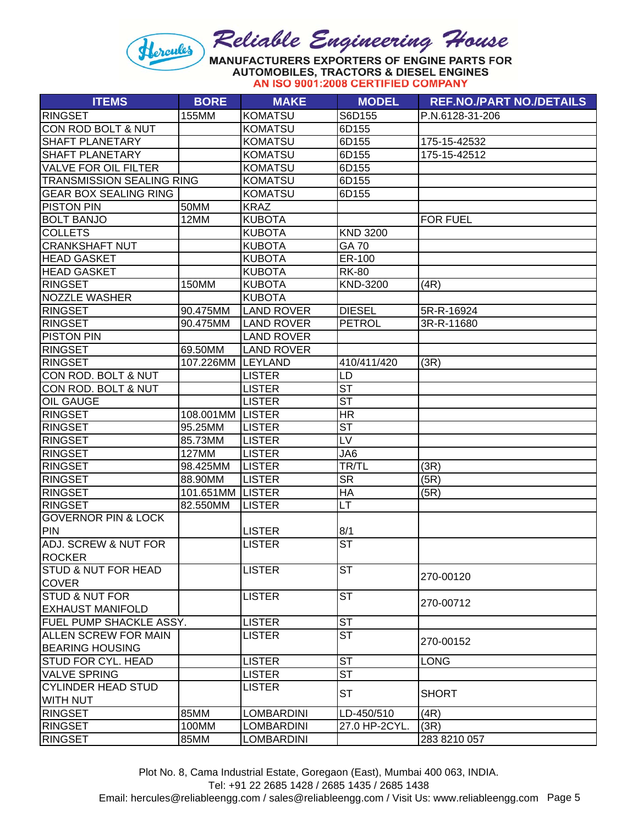# Reliable Engineering House Hercules

MANUFACTURERS EXPORTERS OF ENGINE PARTS FOR **AUTOMOBILES, TRACTORS & DIESEL ENGINES** AN ISO 9001:2008 CERTIFIED COMPANY

| <b>KOMATSU</b><br><b>RINGSET</b><br>155MM<br>S6D155<br>P.N.6128-31-206<br>CON ROD BOLT & NUT<br><b>KOMATSU</b><br>6D155<br>SHAFT PLANETARY<br><b>KOMATSU</b><br>6D155<br>175-15-42532<br>SHAFT PLANETARY<br><b>KOMATSU</b><br>6D155<br>175-15-42512<br><b>VALVE FOR OIL FILTER</b><br><b>KOMATSU</b><br>6D155<br><b>TRANSMISSION SEALING RING</b><br><b>KOMATSU</b><br>6D155<br><b>GEAR BOX SEALING RING</b><br>6D155<br><b>KOMATSU</b><br><b>PISTON PIN</b><br>50MM<br><b>KRAZ</b><br><b>BOLT BANJO</b><br>12MM<br><b>KUBOTA</b><br><b>FOR FUEL</b><br><b>KND 3200</b><br><b>COLLETS</b><br><b>KUBOTA</b><br><b>GA 70</b><br><b>CRANKSHAFT NUT</b><br><b>KUBOTA</b><br><b>HEAD GASKET</b><br><b>KUBOTA</b><br>ER-100<br><b>HEAD GASKET</b><br><b>KUBOTA</b><br><b>RK-80</b><br><b>RINGSET</b><br><b>KUBOTA</b><br>KND-3200<br>150MM<br>(4R)<br><b>NOZZLE WASHER</b><br><b>KUBOTA</b><br><b>RINGSET</b><br><b>LAND ROVER</b><br><b>DIESEL</b><br>90.475MM<br>5R-R-16924<br><b>RINGSET</b><br><b>LAND ROVER</b><br>90.475MM<br><b>PETROL</b><br>3R-R-11680<br><b>PISTON PIN</b><br><b>LAND ROVER</b><br><b>RINGSET</b><br><b>LAND ROVER</b><br>69.50MM<br><b>RINGSET</b><br>107.226MM LEYLAND<br>410/411/420<br>(3R)<br>CON ROD. BOLT & NUT<br><b>LISTER</b><br>LD<br>$\overline{\mathsf{ST}}$<br>CON ROD. BOLT & NUT<br><b>LISTER</b><br>$\overline{\text{ST}}$<br><b>OIL GAUGE</b><br><b>LISTER</b><br><b>RINGSET</b><br><b>HR</b><br>108.001MM LISTER<br>$\overline{\mathsf{ST}}$<br><b>RINGSET</b><br>95.25MM<br><b>LISTER</b><br>LV<br><b>RINGSET</b><br>85.73MM<br><b>LISTER</b><br>JA6<br><b>RINGSET</b><br>127MM<br><b>LISTER</b><br><b>RINGSET</b><br>98.425MM<br><b>LISTER</b><br>TR/TL<br>(3R)<br><b>SR</b><br>(5R)<br><b>RINGSET</b><br><b>LISTER</b><br>88.90MM<br><b>RINGSET</b><br>HA<br>(5R)<br>101.651MM<br><b>LISTER</b><br><b>RINGSET</b><br>82.550MM<br><b>LISTER</b><br>LT<br><b>GOVERNOR PIN &amp; LOCK</b><br><b>PIN</b><br>8/1<br><b>LISTER</b><br><b>ST</b><br>ADJ. SCREW & NUT FOR<br><b>LISTER</b><br><b>ROCKER</b><br><b>ST</b><br>STUD & NUT FOR HEAD<br><b>LISTER</b><br>270-00120<br><b>COVER</b><br><b>ST</b><br>STUD & NUT FOR<br><b>LISTER</b><br>270-00712<br><b>EXHAUST MANIFOLD</b><br>$\overline{\text{ST}}$<br><b>LISTER</b><br><b>FUEL PUMP SHACKLE ASSY.</b><br><b>ST</b><br>ALLEN SCREW FOR MAIN<br><b>LISTER</b><br>270-00152<br><b>BEARING HOUSING</b><br><b>ST</b><br><b>STUD FOR CYL. HEAD</b><br><b>LISTER</b><br><b>LONG</b><br><b>ST</b><br><b>VALVE SPRING</b><br><b>LISTER</b><br><b>CYLINDER HEAD STUD</b><br><b>LISTER</b><br><b>ST</b><br><b>SHORT</b><br><b>WITH NUT</b><br>85MM<br><b>LOMBARDINI</b><br>(4R)<br><b>RINGSET</b><br>LD-450/510<br>27.0 HP-2CYL.<br>(3R)<br><b>RINGSET</b><br>100MM<br>LOMBARDINI<br><b>LOMBARDINI</b><br><b>RINGSET</b><br>85MM<br>283 8210 057 | <b>ITEMS</b> | <b>BORE</b> | <b>MAKE</b> | <b>MODEL</b> | <b>REF.NO./PART NO./DETAILS</b> |
|--------------------------------------------------------------------------------------------------------------------------------------------------------------------------------------------------------------------------------------------------------------------------------------------------------------------------------------------------------------------------------------------------------------------------------------------------------------------------------------------------------------------------------------------------------------------------------------------------------------------------------------------------------------------------------------------------------------------------------------------------------------------------------------------------------------------------------------------------------------------------------------------------------------------------------------------------------------------------------------------------------------------------------------------------------------------------------------------------------------------------------------------------------------------------------------------------------------------------------------------------------------------------------------------------------------------------------------------------------------------------------------------------------------------------------------------------------------------------------------------------------------------------------------------------------------------------------------------------------------------------------------------------------------------------------------------------------------------------------------------------------------------------------------------------------------------------------------------------------------------------------------------------------------------------------------------------------------------------------------------------------------------------------------------------------------------------------------------------------------------------------------------------------------------------------------------------------------------------------------------------------------------------------------------------------------------------------------------------------------------------------------------------------------------------------------------------------------------------------------------------------------------------------------------------------------------------------------------------------------------------------------------------------------------------------------------------------------------------------------------------------------------------------------------------------------------------------------|--------------|-------------|-------------|--------------|---------------------------------|
|                                                                                                                                                                                                                                                                                                                                                                                                                                                                                                                                                                                                                                                                                                                                                                                                                                                                                                                                                                                                                                                                                                                                                                                                                                                                                                                                                                                                                                                                                                                                                                                                                                                                                                                                                                                                                                                                                                                                                                                                                                                                                                                                                                                                                                                                                                                                                                                                                                                                                                                                                                                                                                                                                                                                                                                                                                      |              |             |             |              |                                 |
|                                                                                                                                                                                                                                                                                                                                                                                                                                                                                                                                                                                                                                                                                                                                                                                                                                                                                                                                                                                                                                                                                                                                                                                                                                                                                                                                                                                                                                                                                                                                                                                                                                                                                                                                                                                                                                                                                                                                                                                                                                                                                                                                                                                                                                                                                                                                                                                                                                                                                                                                                                                                                                                                                                                                                                                                                                      |              |             |             |              |                                 |
|                                                                                                                                                                                                                                                                                                                                                                                                                                                                                                                                                                                                                                                                                                                                                                                                                                                                                                                                                                                                                                                                                                                                                                                                                                                                                                                                                                                                                                                                                                                                                                                                                                                                                                                                                                                                                                                                                                                                                                                                                                                                                                                                                                                                                                                                                                                                                                                                                                                                                                                                                                                                                                                                                                                                                                                                                                      |              |             |             |              |                                 |
|                                                                                                                                                                                                                                                                                                                                                                                                                                                                                                                                                                                                                                                                                                                                                                                                                                                                                                                                                                                                                                                                                                                                                                                                                                                                                                                                                                                                                                                                                                                                                                                                                                                                                                                                                                                                                                                                                                                                                                                                                                                                                                                                                                                                                                                                                                                                                                                                                                                                                                                                                                                                                                                                                                                                                                                                                                      |              |             |             |              |                                 |
|                                                                                                                                                                                                                                                                                                                                                                                                                                                                                                                                                                                                                                                                                                                                                                                                                                                                                                                                                                                                                                                                                                                                                                                                                                                                                                                                                                                                                                                                                                                                                                                                                                                                                                                                                                                                                                                                                                                                                                                                                                                                                                                                                                                                                                                                                                                                                                                                                                                                                                                                                                                                                                                                                                                                                                                                                                      |              |             |             |              |                                 |
|                                                                                                                                                                                                                                                                                                                                                                                                                                                                                                                                                                                                                                                                                                                                                                                                                                                                                                                                                                                                                                                                                                                                                                                                                                                                                                                                                                                                                                                                                                                                                                                                                                                                                                                                                                                                                                                                                                                                                                                                                                                                                                                                                                                                                                                                                                                                                                                                                                                                                                                                                                                                                                                                                                                                                                                                                                      |              |             |             |              |                                 |
|                                                                                                                                                                                                                                                                                                                                                                                                                                                                                                                                                                                                                                                                                                                                                                                                                                                                                                                                                                                                                                                                                                                                                                                                                                                                                                                                                                                                                                                                                                                                                                                                                                                                                                                                                                                                                                                                                                                                                                                                                                                                                                                                                                                                                                                                                                                                                                                                                                                                                                                                                                                                                                                                                                                                                                                                                                      |              |             |             |              |                                 |
|                                                                                                                                                                                                                                                                                                                                                                                                                                                                                                                                                                                                                                                                                                                                                                                                                                                                                                                                                                                                                                                                                                                                                                                                                                                                                                                                                                                                                                                                                                                                                                                                                                                                                                                                                                                                                                                                                                                                                                                                                                                                                                                                                                                                                                                                                                                                                                                                                                                                                                                                                                                                                                                                                                                                                                                                                                      |              |             |             |              |                                 |
|                                                                                                                                                                                                                                                                                                                                                                                                                                                                                                                                                                                                                                                                                                                                                                                                                                                                                                                                                                                                                                                                                                                                                                                                                                                                                                                                                                                                                                                                                                                                                                                                                                                                                                                                                                                                                                                                                                                                                                                                                                                                                                                                                                                                                                                                                                                                                                                                                                                                                                                                                                                                                                                                                                                                                                                                                                      |              |             |             |              |                                 |
|                                                                                                                                                                                                                                                                                                                                                                                                                                                                                                                                                                                                                                                                                                                                                                                                                                                                                                                                                                                                                                                                                                                                                                                                                                                                                                                                                                                                                                                                                                                                                                                                                                                                                                                                                                                                                                                                                                                                                                                                                                                                                                                                                                                                                                                                                                                                                                                                                                                                                                                                                                                                                                                                                                                                                                                                                                      |              |             |             |              |                                 |
|                                                                                                                                                                                                                                                                                                                                                                                                                                                                                                                                                                                                                                                                                                                                                                                                                                                                                                                                                                                                                                                                                                                                                                                                                                                                                                                                                                                                                                                                                                                                                                                                                                                                                                                                                                                                                                                                                                                                                                                                                                                                                                                                                                                                                                                                                                                                                                                                                                                                                                                                                                                                                                                                                                                                                                                                                                      |              |             |             |              |                                 |
|                                                                                                                                                                                                                                                                                                                                                                                                                                                                                                                                                                                                                                                                                                                                                                                                                                                                                                                                                                                                                                                                                                                                                                                                                                                                                                                                                                                                                                                                                                                                                                                                                                                                                                                                                                                                                                                                                                                                                                                                                                                                                                                                                                                                                                                                                                                                                                                                                                                                                                                                                                                                                                                                                                                                                                                                                                      |              |             |             |              |                                 |
|                                                                                                                                                                                                                                                                                                                                                                                                                                                                                                                                                                                                                                                                                                                                                                                                                                                                                                                                                                                                                                                                                                                                                                                                                                                                                                                                                                                                                                                                                                                                                                                                                                                                                                                                                                                                                                                                                                                                                                                                                                                                                                                                                                                                                                                                                                                                                                                                                                                                                                                                                                                                                                                                                                                                                                                                                                      |              |             |             |              |                                 |
|                                                                                                                                                                                                                                                                                                                                                                                                                                                                                                                                                                                                                                                                                                                                                                                                                                                                                                                                                                                                                                                                                                                                                                                                                                                                                                                                                                                                                                                                                                                                                                                                                                                                                                                                                                                                                                                                                                                                                                                                                                                                                                                                                                                                                                                                                                                                                                                                                                                                                                                                                                                                                                                                                                                                                                                                                                      |              |             |             |              |                                 |
|                                                                                                                                                                                                                                                                                                                                                                                                                                                                                                                                                                                                                                                                                                                                                                                                                                                                                                                                                                                                                                                                                                                                                                                                                                                                                                                                                                                                                                                                                                                                                                                                                                                                                                                                                                                                                                                                                                                                                                                                                                                                                                                                                                                                                                                                                                                                                                                                                                                                                                                                                                                                                                                                                                                                                                                                                                      |              |             |             |              |                                 |
|                                                                                                                                                                                                                                                                                                                                                                                                                                                                                                                                                                                                                                                                                                                                                                                                                                                                                                                                                                                                                                                                                                                                                                                                                                                                                                                                                                                                                                                                                                                                                                                                                                                                                                                                                                                                                                                                                                                                                                                                                                                                                                                                                                                                                                                                                                                                                                                                                                                                                                                                                                                                                                                                                                                                                                                                                                      |              |             |             |              |                                 |
|                                                                                                                                                                                                                                                                                                                                                                                                                                                                                                                                                                                                                                                                                                                                                                                                                                                                                                                                                                                                                                                                                                                                                                                                                                                                                                                                                                                                                                                                                                                                                                                                                                                                                                                                                                                                                                                                                                                                                                                                                                                                                                                                                                                                                                                                                                                                                                                                                                                                                                                                                                                                                                                                                                                                                                                                                                      |              |             |             |              |                                 |
|                                                                                                                                                                                                                                                                                                                                                                                                                                                                                                                                                                                                                                                                                                                                                                                                                                                                                                                                                                                                                                                                                                                                                                                                                                                                                                                                                                                                                                                                                                                                                                                                                                                                                                                                                                                                                                                                                                                                                                                                                                                                                                                                                                                                                                                                                                                                                                                                                                                                                                                                                                                                                                                                                                                                                                                                                                      |              |             |             |              |                                 |
|                                                                                                                                                                                                                                                                                                                                                                                                                                                                                                                                                                                                                                                                                                                                                                                                                                                                                                                                                                                                                                                                                                                                                                                                                                                                                                                                                                                                                                                                                                                                                                                                                                                                                                                                                                                                                                                                                                                                                                                                                                                                                                                                                                                                                                                                                                                                                                                                                                                                                                                                                                                                                                                                                                                                                                                                                                      |              |             |             |              |                                 |
|                                                                                                                                                                                                                                                                                                                                                                                                                                                                                                                                                                                                                                                                                                                                                                                                                                                                                                                                                                                                                                                                                                                                                                                                                                                                                                                                                                                                                                                                                                                                                                                                                                                                                                                                                                                                                                                                                                                                                                                                                                                                                                                                                                                                                                                                                                                                                                                                                                                                                                                                                                                                                                                                                                                                                                                                                                      |              |             |             |              |                                 |
|                                                                                                                                                                                                                                                                                                                                                                                                                                                                                                                                                                                                                                                                                                                                                                                                                                                                                                                                                                                                                                                                                                                                                                                                                                                                                                                                                                                                                                                                                                                                                                                                                                                                                                                                                                                                                                                                                                                                                                                                                                                                                                                                                                                                                                                                                                                                                                                                                                                                                                                                                                                                                                                                                                                                                                                                                                      |              |             |             |              |                                 |
|                                                                                                                                                                                                                                                                                                                                                                                                                                                                                                                                                                                                                                                                                                                                                                                                                                                                                                                                                                                                                                                                                                                                                                                                                                                                                                                                                                                                                                                                                                                                                                                                                                                                                                                                                                                                                                                                                                                                                                                                                                                                                                                                                                                                                                                                                                                                                                                                                                                                                                                                                                                                                                                                                                                                                                                                                                      |              |             |             |              |                                 |
|                                                                                                                                                                                                                                                                                                                                                                                                                                                                                                                                                                                                                                                                                                                                                                                                                                                                                                                                                                                                                                                                                                                                                                                                                                                                                                                                                                                                                                                                                                                                                                                                                                                                                                                                                                                                                                                                                                                                                                                                                                                                                                                                                                                                                                                                                                                                                                                                                                                                                                                                                                                                                                                                                                                                                                                                                                      |              |             |             |              |                                 |
|                                                                                                                                                                                                                                                                                                                                                                                                                                                                                                                                                                                                                                                                                                                                                                                                                                                                                                                                                                                                                                                                                                                                                                                                                                                                                                                                                                                                                                                                                                                                                                                                                                                                                                                                                                                                                                                                                                                                                                                                                                                                                                                                                                                                                                                                                                                                                                                                                                                                                                                                                                                                                                                                                                                                                                                                                                      |              |             |             |              |                                 |
|                                                                                                                                                                                                                                                                                                                                                                                                                                                                                                                                                                                                                                                                                                                                                                                                                                                                                                                                                                                                                                                                                                                                                                                                                                                                                                                                                                                                                                                                                                                                                                                                                                                                                                                                                                                                                                                                                                                                                                                                                                                                                                                                                                                                                                                                                                                                                                                                                                                                                                                                                                                                                                                                                                                                                                                                                                      |              |             |             |              |                                 |
|                                                                                                                                                                                                                                                                                                                                                                                                                                                                                                                                                                                                                                                                                                                                                                                                                                                                                                                                                                                                                                                                                                                                                                                                                                                                                                                                                                                                                                                                                                                                                                                                                                                                                                                                                                                                                                                                                                                                                                                                                                                                                                                                                                                                                                                                                                                                                                                                                                                                                                                                                                                                                                                                                                                                                                                                                                      |              |             |             |              |                                 |
|                                                                                                                                                                                                                                                                                                                                                                                                                                                                                                                                                                                                                                                                                                                                                                                                                                                                                                                                                                                                                                                                                                                                                                                                                                                                                                                                                                                                                                                                                                                                                                                                                                                                                                                                                                                                                                                                                                                                                                                                                                                                                                                                                                                                                                                                                                                                                                                                                                                                                                                                                                                                                                                                                                                                                                                                                                      |              |             |             |              |                                 |
|                                                                                                                                                                                                                                                                                                                                                                                                                                                                                                                                                                                                                                                                                                                                                                                                                                                                                                                                                                                                                                                                                                                                                                                                                                                                                                                                                                                                                                                                                                                                                                                                                                                                                                                                                                                                                                                                                                                                                                                                                                                                                                                                                                                                                                                                                                                                                                                                                                                                                                                                                                                                                                                                                                                                                                                                                                      |              |             |             |              |                                 |
|                                                                                                                                                                                                                                                                                                                                                                                                                                                                                                                                                                                                                                                                                                                                                                                                                                                                                                                                                                                                                                                                                                                                                                                                                                                                                                                                                                                                                                                                                                                                                                                                                                                                                                                                                                                                                                                                                                                                                                                                                                                                                                                                                                                                                                                                                                                                                                                                                                                                                                                                                                                                                                                                                                                                                                                                                                      |              |             |             |              |                                 |
|                                                                                                                                                                                                                                                                                                                                                                                                                                                                                                                                                                                                                                                                                                                                                                                                                                                                                                                                                                                                                                                                                                                                                                                                                                                                                                                                                                                                                                                                                                                                                                                                                                                                                                                                                                                                                                                                                                                                                                                                                                                                                                                                                                                                                                                                                                                                                                                                                                                                                                                                                                                                                                                                                                                                                                                                                                      |              |             |             |              |                                 |
|                                                                                                                                                                                                                                                                                                                                                                                                                                                                                                                                                                                                                                                                                                                                                                                                                                                                                                                                                                                                                                                                                                                                                                                                                                                                                                                                                                                                                                                                                                                                                                                                                                                                                                                                                                                                                                                                                                                                                                                                                                                                                                                                                                                                                                                                                                                                                                                                                                                                                                                                                                                                                                                                                                                                                                                                                                      |              |             |             |              |                                 |
|                                                                                                                                                                                                                                                                                                                                                                                                                                                                                                                                                                                                                                                                                                                                                                                                                                                                                                                                                                                                                                                                                                                                                                                                                                                                                                                                                                                                                                                                                                                                                                                                                                                                                                                                                                                                                                                                                                                                                                                                                                                                                                                                                                                                                                                                                                                                                                                                                                                                                                                                                                                                                                                                                                                                                                                                                                      |              |             |             |              |                                 |
|                                                                                                                                                                                                                                                                                                                                                                                                                                                                                                                                                                                                                                                                                                                                                                                                                                                                                                                                                                                                                                                                                                                                                                                                                                                                                                                                                                                                                                                                                                                                                                                                                                                                                                                                                                                                                                                                                                                                                                                                                                                                                                                                                                                                                                                                                                                                                                                                                                                                                                                                                                                                                                                                                                                                                                                                                                      |              |             |             |              |                                 |
|                                                                                                                                                                                                                                                                                                                                                                                                                                                                                                                                                                                                                                                                                                                                                                                                                                                                                                                                                                                                                                                                                                                                                                                                                                                                                                                                                                                                                                                                                                                                                                                                                                                                                                                                                                                                                                                                                                                                                                                                                                                                                                                                                                                                                                                                                                                                                                                                                                                                                                                                                                                                                                                                                                                                                                                                                                      |              |             |             |              |                                 |
|                                                                                                                                                                                                                                                                                                                                                                                                                                                                                                                                                                                                                                                                                                                                                                                                                                                                                                                                                                                                                                                                                                                                                                                                                                                                                                                                                                                                                                                                                                                                                                                                                                                                                                                                                                                                                                                                                                                                                                                                                                                                                                                                                                                                                                                                                                                                                                                                                                                                                                                                                                                                                                                                                                                                                                                                                                      |              |             |             |              |                                 |
|                                                                                                                                                                                                                                                                                                                                                                                                                                                                                                                                                                                                                                                                                                                                                                                                                                                                                                                                                                                                                                                                                                                                                                                                                                                                                                                                                                                                                                                                                                                                                                                                                                                                                                                                                                                                                                                                                                                                                                                                                                                                                                                                                                                                                                                                                                                                                                                                                                                                                                                                                                                                                                                                                                                                                                                                                                      |              |             |             |              |                                 |
|                                                                                                                                                                                                                                                                                                                                                                                                                                                                                                                                                                                                                                                                                                                                                                                                                                                                                                                                                                                                                                                                                                                                                                                                                                                                                                                                                                                                                                                                                                                                                                                                                                                                                                                                                                                                                                                                                                                                                                                                                                                                                                                                                                                                                                                                                                                                                                                                                                                                                                                                                                                                                                                                                                                                                                                                                                      |              |             |             |              |                                 |
|                                                                                                                                                                                                                                                                                                                                                                                                                                                                                                                                                                                                                                                                                                                                                                                                                                                                                                                                                                                                                                                                                                                                                                                                                                                                                                                                                                                                                                                                                                                                                                                                                                                                                                                                                                                                                                                                                                                                                                                                                                                                                                                                                                                                                                                                                                                                                                                                                                                                                                                                                                                                                                                                                                                                                                                                                                      |              |             |             |              |                                 |
|                                                                                                                                                                                                                                                                                                                                                                                                                                                                                                                                                                                                                                                                                                                                                                                                                                                                                                                                                                                                                                                                                                                                                                                                                                                                                                                                                                                                                                                                                                                                                                                                                                                                                                                                                                                                                                                                                                                                                                                                                                                                                                                                                                                                                                                                                                                                                                                                                                                                                                                                                                                                                                                                                                                                                                                                                                      |              |             |             |              |                                 |
|                                                                                                                                                                                                                                                                                                                                                                                                                                                                                                                                                                                                                                                                                                                                                                                                                                                                                                                                                                                                                                                                                                                                                                                                                                                                                                                                                                                                                                                                                                                                                                                                                                                                                                                                                                                                                                                                                                                                                                                                                                                                                                                                                                                                                                                                                                                                                                                                                                                                                                                                                                                                                                                                                                                                                                                                                                      |              |             |             |              |                                 |
|                                                                                                                                                                                                                                                                                                                                                                                                                                                                                                                                                                                                                                                                                                                                                                                                                                                                                                                                                                                                                                                                                                                                                                                                                                                                                                                                                                                                                                                                                                                                                                                                                                                                                                                                                                                                                                                                                                                                                                                                                                                                                                                                                                                                                                                                                                                                                                                                                                                                                                                                                                                                                                                                                                                                                                                                                                      |              |             |             |              |                                 |
|                                                                                                                                                                                                                                                                                                                                                                                                                                                                                                                                                                                                                                                                                                                                                                                                                                                                                                                                                                                                                                                                                                                                                                                                                                                                                                                                                                                                                                                                                                                                                                                                                                                                                                                                                                                                                                                                                                                                                                                                                                                                                                                                                                                                                                                                                                                                                                                                                                                                                                                                                                                                                                                                                                                                                                                                                                      |              |             |             |              |                                 |
|                                                                                                                                                                                                                                                                                                                                                                                                                                                                                                                                                                                                                                                                                                                                                                                                                                                                                                                                                                                                                                                                                                                                                                                                                                                                                                                                                                                                                                                                                                                                                                                                                                                                                                                                                                                                                                                                                                                                                                                                                                                                                                                                                                                                                                                                                                                                                                                                                                                                                                                                                                                                                                                                                                                                                                                                                                      |              |             |             |              |                                 |
|                                                                                                                                                                                                                                                                                                                                                                                                                                                                                                                                                                                                                                                                                                                                                                                                                                                                                                                                                                                                                                                                                                                                                                                                                                                                                                                                                                                                                                                                                                                                                                                                                                                                                                                                                                                                                                                                                                                                                                                                                                                                                                                                                                                                                                                                                                                                                                                                                                                                                                                                                                                                                                                                                                                                                                                                                                      |              |             |             |              |                                 |
|                                                                                                                                                                                                                                                                                                                                                                                                                                                                                                                                                                                                                                                                                                                                                                                                                                                                                                                                                                                                                                                                                                                                                                                                                                                                                                                                                                                                                                                                                                                                                                                                                                                                                                                                                                                                                                                                                                                                                                                                                                                                                                                                                                                                                                                                                                                                                                                                                                                                                                                                                                                                                                                                                                                                                                                                                                      |              |             |             |              |                                 |
|                                                                                                                                                                                                                                                                                                                                                                                                                                                                                                                                                                                                                                                                                                                                                                                                                                                                                                                                                                                                                                                                                                                                                                                                                                                                                                                                                                                                                                                                                                                                                                                                                                                                                                                                                                                                                                                                                                                                                                                                                                                                                                                                                                                                                                                                                                                                                                                                                                                                                                                                                                                                                                                                                                                                                                                                                                      |              |             |             |              |                                 |
|                                                                                                                                                                                                                                                                                                                                                                                                                                                                                                                                                                                                                                                                                                                                                                                                                                                                                                                                                                                                                                                                                                                                                                                                                                                                                                                                                                                                                                                                                                                                                                                                                                                                                                                                                                                                                                                                                                                                                                                                                                                                                                                                                                                                                                                                                                                                                                                                                                                                                                                                                                                                                                                                                                                                                                                                                                      |              |             |             |              |                                 |
|                                                                                                                                                                                                                                                                                                                                                                                                                                                                                                                                                                                                                                                                                                                                                                                                                                                                                                                                                                                                                                                                                                                                                                                                                                                                                                                                                                                                                                                                                                                                                                                                                                                                                                                                                                                                                                                                                                                                                                                                                                                                                                                                                                                                                                                                                                                                                                                                                                                                                                                                                                                                                                                                                                                                                                                                                                      |              |             |             |              |                                 |
|                                                                                                                                                                                                                                                                                                                                                                                                                                                                                                                                                                                                                                                                                                                                                                                                                                                                                                                                                                                                                                                                                                                                                                                                                                                                                                                                                                                                                                                                                                                                                                                                                                                                                                                                                                                                                                                                                                                                                                                                                                                                                                                                                                                                                                                                                                                                                                                                                                                                                                                                                                                                                                                                                                                                                                                                                                      |              |             |             |              |                                 |

Plot No. 8, Cama Industrial Estate, Goregaon (East), Mumbai 400 063, INDIA.

Tel: +91 22 2685 1428 / 2685 1435 / 2685 1438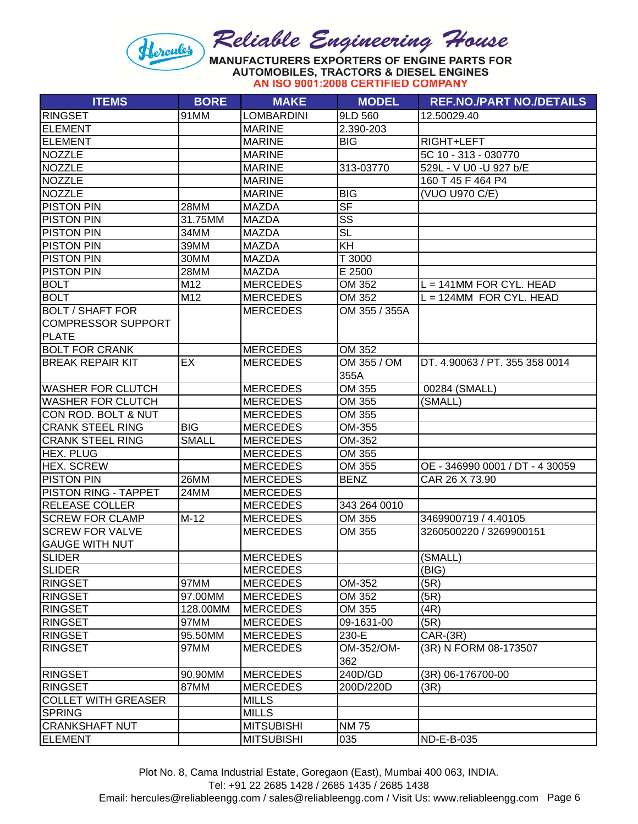**AUTOMOBILES, TRACTORS & DIESEL ENGINES** AN ISO 9001:2008 CERTIFIED COMPANY

| <b>ITEMS</b>               | <b>BORE</b>  | <b>MAKE</b>       | <b>MODEL</b>           | <b>REF.NO./PART NO./DETAILS</b> |
|----------------------------|--------------|-------------------|------------------------|---------------------------------|
| <b>RINGSET</b>             | 91MM         | <b>LOMBARDINI</b> | 9LD 560                | 12.50029.40                     |
| <b>ELEMENT</b>             |              | <b>MARINE</b>     | 2.390-203              |                                 |
| <b>ELEMENT</b>             |              | <b>MARINE</b>     | <b>BIG</b>             | RIGHT+LEFT                      |
| <b>NOZZLE</b>              |              | <b>MARINE</b>     |                        | 5C 10 - 313 - 030770            |
| <b>NOZZLE</b>              |              | <b>MARINE</b>     | 313-03770              | 529L - V U0 - U 927 b/E         |
| <b>NOZZLE</b>              |              | <b>MARINE</b>     |                        | 160 T 45 F 464 P4               |
| <b>NOZZLE</b>              |              | <b>MARINE</b>     | <b>BIG</b>             | (VUO U970 C/E)                  |
| <b>PISTON PIN</b>          | 28MM         | <b>MAZDA</b>      | $S$ F                  |                                 |
| <b>PISTON PIN</b>          | 31.75MM      | <b>MAZDA</b>      | SS                     |                                 |
| <b>PISTON PIN</b>          | 34MM         | <b>MAZDA</b>      | $\overline{\text{SL}}$ |                                 |
| <b>PISTON PIN</b>          | 39MM         | <b>MAZDA</b>      | KH                     |                                 |
| PISTON PIN                 | 30MM         | <b>MAZDA</b>      | T 3000                 |                                 |
| <b>PISTON PIN</b>          | 28MM         | <b>MAZDA</b>      | E 2500                 |                                 |
| <b>BOLT</b>                | M12          | <b>MERCEDES</b>   | OM 352                 | $L = 141$ MM FOR CYL. HEAD      |
| <b>BOLT</b>                | M12          | <b>MERCEDES</b>   | OM 352                 | $L = 124$ MM FOR CYL. HEAD      |
| <b>BOLT / SHAFT FOR</b>    |              | <b>MERCEDES</b>   | OM 355 / 355A          |                                 |
| <b>COMPRESSOR SUPPORT</b>  |              |                   |                        |                                 |
| <b>PLATE</b>               |              |                   |                        |                                 |
| <b>BOLT FOR CRANK</b>      |              | <b>MERCEDES</b>   | OM 352                 |                                 |
| <b>BREAK REPAIR KIT</b>    | EX           | <b>MERCEDES</b>   | OM 355 / OM            | DT. 4.90063 / PT. 355 358 0014  |
|                            |              |                   | 355A                   |                                 |
| <b>WASHER FOR CLUTCH</b>   |              | <b>MERCEDES</b>   | OM 355                 | 00284 (SMALL)                   |
| <b>WASHER FOR CLUTCH</b>   |              | <b>MERCEDES</b>   | OM 355                 | (SMALL)                         |
| CON ROD. BOLT & NUT        |              | <b>MERCEDES</b>   | OM 355                 |                                 |
| <b>CRANK STEEL RING</b>    | <b>BIG</b>   | <b>MERCEDES</b>   | OM-355                 |                                 |
| <b>CRANK STEEL RING</b>    | <b>SMALL</b> | <b>MERCEDES</b>   | OM-352                 |                                 |
| <b>HEX. PLUG</b>           |              | <b>MERCEDES</b>   | OM 355                 |                                 |
| <b>HEX. SCREW</b>          |              | <b>MERCEDES</b>   | OM 355                 | OE - 346990 0001 / DT - 4 30059 |
| <b>PISTON PIN</b>          | 26MM         | <b>MERCEDES</b>   | <b>BENZ</b>            | CAR 26 X 73.90                  |
| PISTON RING - TAPPET       | 24MM         | <b>MERCEDES</b>   |                        |                                 |
| <b>RELEASE COLLER</b>      |              | <b>MERCEDES</b>   | 343 264 0010           |                                 |
| <b>SCREW FOR CLAMP</b>     | $M-12$       | <b>MERCEDES</b>   | OM 355                 | 3469900719 / 4.40105            |
| <b>SCREW FOR VALVE</b>     |              | <b>MERCEDES</b>   | OM 355                 | 3260500220 / 3269900151         |
| <b>GAUGE WITH NUT</b>      |              |                   |                        |                                 |
| <b>SLIDER</b>              |              | <b>MERCEDES</b>   |                        | (SMALL)                         |
| <b>SLIDER</b>              |              | <b>MERCEDES</b>   |                        | (BIG)                           |
| <b>RINGSET</b>             | 97MM         | <b>MERCEDES</b>   | OM-352                 | (5R)                            |
| <b>RINGSET</b>             | 97.00MM      | <b>MERCEDES</b>   | OM 352                 | (5R)                            |
| <b>RINGSET</b>             | 128.00MM     | <b>MERCEDES</b>   | OM 355                 | (4R)                            |
| <b>RINGSET</b>             | 97MM         | <b>MERCEDES</b>   | 09-1631-00             | (5R)                            |
| <b>RINGSET</b>             | 95.50MM      | <b>MERCEDES</b>   | 230-E                  | $CAR-(3R)$                      |
| <b>RINGSET</b>             | 97MM         | <b>MERCEDES</b>   | OM-352/OM-             | (3R) N FORM 08-173507           |
|                            |              |                   | 362                    |                                 |
| <b>RINGSET</b>             | 90.90MM      | <b>MERCEDES</b>   | 240D/GD                | (3R) 06-176700-00               |
| <b>RINGSET</b>             | 87MM         | <b>MERCEDES</b>   | 200D/220D              | (3R)                            |
| <b>COLLET WITH GREASER</b> |              | <b>MILLS</b>      |                        |                                 |
| <b>SPRING</b>              |              | <b>MILLS</b>      |                        |                                 |
| <b>CRANKSHAFT NUT</b>      |              | <b>MITSUBISHI</b> | <b>NM75</b>            |                                 |
| <b>ELEMENT</b>             |              | <b>MITSUBISHI</b> | 035                    | ND-E-B-035                      |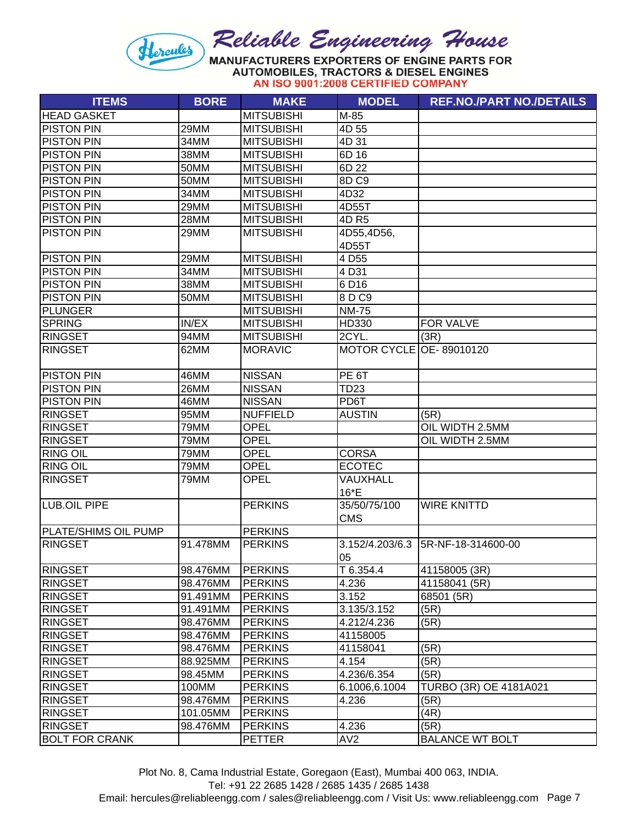#### Reliable Engineering House Hercules MANUFACTURERS EXPORTERS OF ENGINE PARTS FOR **AUTOMOBILES, TRACTORS & DIESEL ENGINES**

AN ISO 9001:2008 CERTIFIED COMPANY

| <b>ITEMS</b>          | <b>BORE</b> | <b>MAKE</b>       | <b>MODEL</b>            | <b>REF.NO./PART NO./DETAILS</b> |
|-----------------------|-------------|-------------------|-------------------------|---------------------------------|
| <b>HEAD GASKET</b>    |             | <b>MITSUBISHI</b> | M-85                    |                                 |
| <b>PISTON PIN</b>     | 29MM        | <b>MITSUBISHI</b> | 4D 55                   |                                 |
| <b>PISTON PIN</b>     | 34MM        | <b>MITSUBISHI</b> | 4D 31                   |                                 |
| <b>PISTON PIN</b>     | 38MM        | <b>MITSUBISHI</b> | 6D 16                   |                                 |
| <b>PISTON PIN</b>     | 50MM        | <b>MITSUBISHI</b> | 6D 22                   |                                 |
| <b>PISTON PIN</b>     | 50MM        | <b>MITSUBISHI</b> | 8D C9                   |                                 |
| <b>PISTON PIN</b>     | 34MM        | <b>MITSUBISHI</b> | 4D32                    |                                 |
| <b>PISTON PIN</b>     | 29MM        | <b>MITSUBISHI</b> | 4D55T                   |                                 |
| <b>PISTON PIN</b>     | 28MM        | <b>MITSUBISHI</b> | 4D R5                   |                                 |
| <b>PISTON PIN</b>     | 29MM        | <b>MITSUBISHI</b> | 4D55,4D56,              |                                 |
|                       |             |                   | 4D55T                   |                                 |
| <b>PISTON PIN</b>     | 29MM        | <b>MITSUBISHI</b> | 4 D <sub>55</sub>       |                                 |
| <b>PISTON PIN</b>     | 34MM        | <b>MITSUBISHI</b> | 4 D31                   |                                 |
| <b>PISTON PIN</b>     | 38MM        | <b>MITSUBISHI</b> | 6 D16                   |                                 |
| <b>PISTON PIN</b>     | 50MM        | <b>MITSUBISHI</b> | 8 D C9                  |                                 |
| <b>PLUNGER</b>        |             | <b>MITSUBISHI</b> | <b>NM-75</b>            |                                 |
| <b>SPRING</b>         | IN/EX       | <b>MITSUBISHI</b> | HD330                   | FOR VALVE                       |
| <b>RINGSET</b>        | 94MM        | <b>MITSUBISHI</b> | 2CYL.                   | (3R)                            |
| <b>RINGSET</b>        | 62MM        | <b>MORAVIC</b>    | MOTOR CYCLE OE-89010120 |                                 |
|                       |             |                   |                         |                                 |
| <b>PISTON PIN</b>     | 46MM        | <b>NISSAN</b>     | PE 6T                   |                                 |
| <b>PISTON PIN</b>     | 26MM        | <b>NISSAN</b>     | <b>TD23</b>             |                                 |
| <b>PISTON PIN</b>     | 46MM        | <b>NISSAN</b>     | PD6T                    |                                 |
| <b>RINGSET</b>        | 95MM        | <b>NUFFIELD</b>   | <b>AUSTIN</b>           | (5R)                            |
| <b>RINGSET</b>        | 79MM        | <b>OPEL</b>       |                         | OIL WIDTH 2.5MM                 |
| <b>RINGSET</b>        | 79MM        | OPEL              |                         | OIL WIDTH 2.5MM                 |
| <b>RING OIL</b>       | 79MM        | <b>OPEL</b>       | <b>CORSA</b>            |                                 |
| <b>RING OIL</b>       | 79MM        | <b>OPEL</b>       | <b>ECOTEC</b>           |                                 |
| <b>RINGSET</b>        | 79MM        | <b>OPEL</b>       | VAUXHALL                |                                 |
|                       |             |                   | 16*E                    |                                 |
| LUB.OIL PIPE          |             | <b>PERKINS</b>    | 35/50/75/100            | <b>WIRE KNITTD</b>              |
|                       |             |                   | <b>CMS</b>              |                                 |
| PLATE/SHIMS OIL PUMP  |             | <b>PERKINS</b>    |                         |                                 |
| <b>RINGSET</b>        | 91.478MM    | <b>PERKINS</b>    | 3.152/4.203/6.3         | 5R-NF-18-314600-00              |
|                       |             |                   | 05                      |                                 |
| <b>RINGSET</b>        | 98.476MM    | <b>PERKINS</b>    | T 6.354.4               | 41158005 (3R)                   |
| <b>RINGSET</b>        | 98.476MM    | <b>PERKINS</b>    | 4.236                   | 41158041 (5R)                   |
| <b>RINGSET</b>        | 91.491MM    | <b>PERKINS</b>    | 3.152                   | 68501 (5R)                      |
| <b>RINGSET</b>        | 91.491MM    | <b>PERKINS</b>    | 3.135/3.152             | (5R)                            |
| <b>RINGSET</b>        | 98.476MM    | <b>PERKINS</b>    | 4.212/4.236             | (5R)                            |
| <b>RINGSET</b>        | 98.476MM    | <b>PERKINS</b>    | 41158005                |                                 |
| <b>RINGSET</b>        | 98.476MM    | <b>PERKINS</b>    | 41158041                | (5R)                            |
| <b>RINGSET</b>        | 88.925MM    | <b>PERKINS</b>    | 4.154                   | (5R)                            |
| <b>RINGSET</b>        | 98.45MM     | <b>PERKINS</b>    | 4.236/6.354             | (5R)                            |
| <b>RINGSET</b>        | 100MM       | <b>PERKINS</b>    | 6.1006,6.1004           | TURBO (3R) OE 4181A021          |
| <b>RINGSET</b>        | 98.476MM    | <b>PERKINS</b>    | 4.236                   | (5R)                            |
| <b>RINGSET</b>        | 101.05MM    | <b>PERKINS</b>    |                         | (4R)                            |
| <b>RINGSET</b>        | 98.476MM    | <b>PERKINS</b>    | 4.236                   | (5R)                            |
| <b>BOLT FOR CRANK</b> |             | <b>PETTER</b>     | AV <sub>2</sub>         | <b>BALANCE WT BOLT</b>          |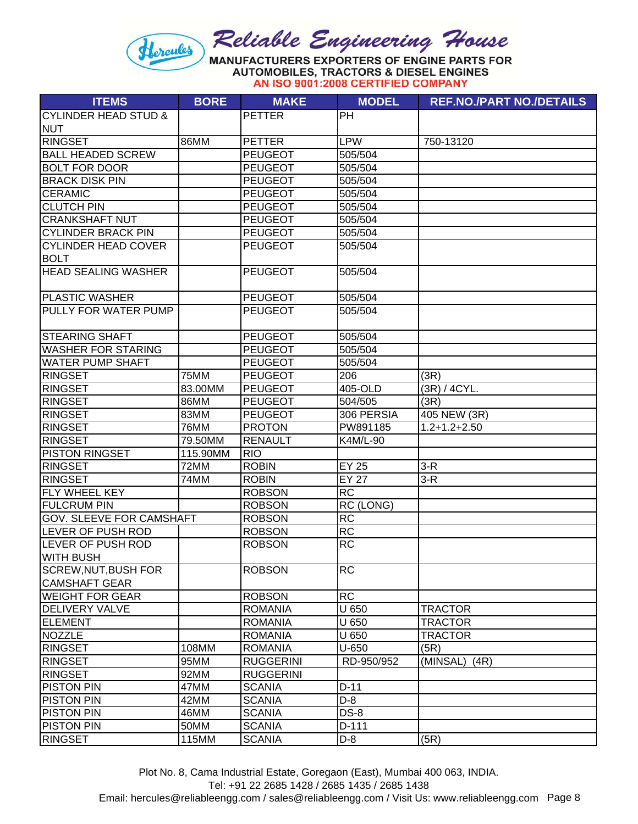#### Reliable Engineering House Hercules MANUFACTURERS EXPORTERS OF ENGINE PARTS FOR **AUTOMOBILES, TRACTORS & DIESEL ENGINES**

AN ISO 9001:2008 CERTIFIED COMPANY

| <b>ITEMS</b>                    | <b>BORE</b> | <b>MAKE</b>      | <b>MODEL</b>    | <b>REF.NO./PART NO./DETAILS</b> |
|---------------------------------|-------------|------------------|-----------------|---------------------------------|
| <b>CYLINDER HEAD STUD &amp;</b> |             | <b>PETTER</b>    | <b>PH</b>       |                                 |
| <b>NUT</b>                      |             |                  |                 |                                 |
| <b>RINGSET</b>                  | 86MM        | <b>PETTER</b>    | <b>LPW</b>      | 750-13120                       |
| <b>BALL HEADED SCREW</b>        |             | <b>PEUGEOT</b>   | 505/504         |                                 |
| <b>BOLT FOR DOOR</b>            |             | <b>PEUGEOT</b>   | 505/504         |                                 |
| <b>BRACK DISK PIN</b>           |             | <b>PEUGEOT</b>   | 505/504         |                                 |
| <b>CERAMIC</b>                  |             | <b>PEUGEOT</b>   | 505/504         |                                 |
| <b>CLUTCH PIN</b>               |             | <b>PEUGEOT</b>   | 505/504         |                                 |
| <b>CRANKSHAFT NUT</b>           |             | <b>PEUGEOT</b>   | 505/504         |                                 |
| <b>CYLINDER BRACK PIN</b>       |             | <b>PEUGEOT</b>   | 505/504         |                                 |
| <b>CYLINDER HEAD COVER</b>      |             | <b>PEUGEOT</b>   | 505/504         |                                 |
| <b>BOLT</b>                     |             |                  |                 |                                 |
| <b>HEAD SEALING WASHER</b>      |             | <b>PEUGEOT</b>   | 505/504         |                                 |
| <b>PLASTIC WASHER</b>           |             | <b>PEUGEOT</b>   | 505/504         |                                 |
| PULLY FOR WATER PUMP            |             | <b>PEUGEOT</b>   | 505/504         |                                 |
|                                 |             |                  |                 |                                 |
| <b>STEARING SHAFT</b>           |             | <b>PEUGEOT</b>   | 505/504         |                                 |
| <b>WASHER FOR STARING</b>       |             | <b>PEUGEOT</b>   | 505/504         |                                 |
| <b>WATER PUMP SHAFT</b>         |             | <b>PEUGEOT</b>   | 505/504         |                                 |
| <b>RINGSET</b>                  | 75MM        | <b>PEUGEOT</b>   | 206             | (3R)                            |
| <b>RINGSET</b>                  | 83.00MM     | <b>PEUGEOT</b>   | 405-OLD         | (3R) / 4CYL.                    |
| <b>RINGSET</b>                  | 86MM        | <b>PEUGEOT</b>   | 504/505         | (3R)                            |
| <b>RINGSET</b>                  | 83MM        | <b>PEUGEOT</b>   | 306 PERSIA      | 405 NEW (3R)                    |
| <b>RINGSET</b>                  | 76MM        | <b>PROTON</b>    | PW891185        | $1.2 + 1.2 + 2.50$              |
| <b>RINGSET</b>                  | 79.50MM     | <b>RENAULT</b>   | K4M/L-90        |                                 |
| <b>PISTON RINGSET</b>           | 115.90MM    | <b>RIO</b>       |                 |                                 |
| <b>RINGSET</b>                  | 72MM        | <b>ROBIN</b>     | <b>EY 25</b>    | $3-R$                           |
| <b>RINGSET</b>                  | 74MM        | <b>ROBIN</b>     | <b>EY 27</b>    | $3-R$                           |
| FLY WHEEL KEY                   |             | <b>ROBSON</b>    | <b>RC</b>       |                                 |
| <b>FULCRUM PIN</b>              |             | <b>ROBSON</b>    | RC (LONG)       |                                 |
| GOV. SLEEVE FOR CAMSHAFT        |             | <b>ROBSON</b>    | $\overline{RC}$ |                                 |
| <b>LEVER OF PUSH ROD</b>        |             | <b>ROBSON</b>    | <b>RC</b>       |                                 |
| <b>LEVER OF PUSH ROD</b>        |             | <b>ROBSON</b>    | <b>RC</b>       |                                 |
| <b>WITH BUSH</b>                |             |                  |                 |                                 |
| SCREW,NUT,BUSH FOR              |             | <b>ROBSON</b>    | <b>RC</b>       |                                 |
| <b>CAMSHAFT GEAR</b>            |             |                  |                 |                                 |
| <b>WEIGHT FOR GEAR</b>          |             | <b>ROBSON</b>    | <b>RC</b>       |                                 |
| <b>DELIVERY VALVE</b>           |             | <b>ROMANIA</b>   | U 650           | <b>TRACTOR</b>                  |
| <b>ELEMENT</b>                  |             | <b>ROMANIA</b>   | U 650           | <b>TRACTOR</b>                  |
| <b>NOZZLE</b>                   |             | <b>ROMANIA</b>   | U 650           | <b>TRACTOR</b>                  |
| <b>RINGSET</b>                  | 108MM       | <b>ROMANIA</b>   | U-650           | (5R)                            |
| <b>RINGSET</b>                  | 95MM        | <b>RUGGERINI</b> | RD-950/952      | (MINSAL)<br>(4R)                |
| <b>RINGSET</b>                  | 92MM        | <b>RUGGERINI</b> |                 |                                 |
| <b>PISTON PIN</b>               | 47MM        | <b>SCANIA</b>    | $D-11$          |                                 |
| <b>PISTON PIN</b>               | 42MM        | <b>SCANIA</b>    | $D-8$           |                                 |
| <b>PISTON PIN</b>               | 46MM        | <b>SCANIA</b>    | <b>DS-8</b>     |                                 |
| <b>PISTON PIN</b>               | 50MM        | <b>SCANIA</b>    | D-111           |                                 |
| <b>RINGSET</b>                  | 115MM       | <b>SCANIA</b>    | $D-8$           | (5R)                            |

Plot No. 8, Cama Industrial Estate, Goregaon (East), Mumbai 400 063, INDIA.

Tel: +91 22 2685 1428 / 2685 1435 / 2685 1438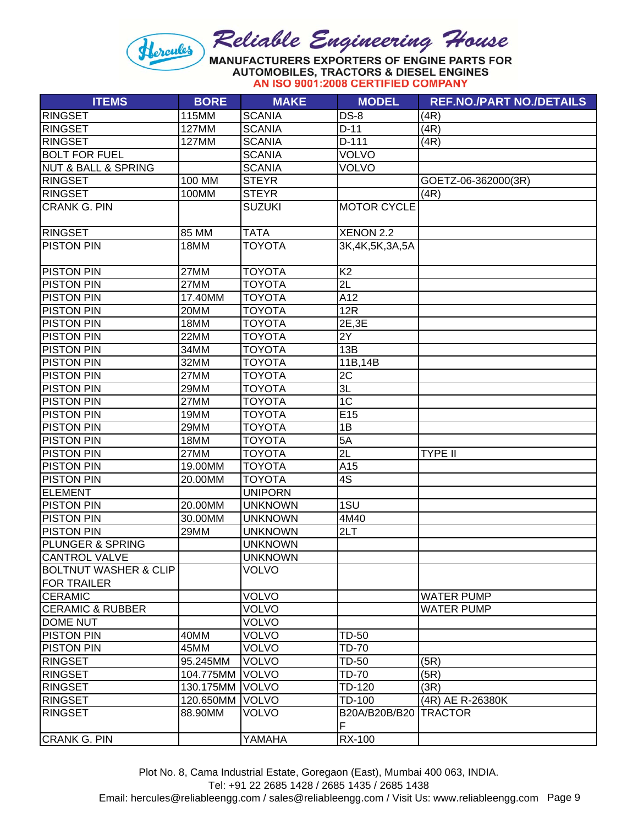**AUTOMOBILES, TRACTORS & DIESEL ENGINES** AN ISO 9001:2008 CERTIFIED COMPANY

| <b>RINGSET</b><br>115MM<br><b>SCANIA</b><br><b>DS-8</b><br>(4R)<br><b>SCANIA</b><br><b>RINGSET</b><br>127MM<br>$D-11$<br>(4R)<br><b>RINGSET</b><br>D-111<br>127MM<br><b>SCANIA</b><br>(4R)<br><b>BOLT FOR FUEL</b><br>VOLVO<br><b>SCANIA</b><br><b>NUT &amp; BALL &amp; SPRING</b><br><b>SCANIA</b><br><b>VOLVO</b><br>100 MM<br><b>RINGSET</b><br><b>STEYR</b><br>GOETZ-06-362000(3R)<br><b>RINGSET</b><br>100MM<br><b>STEYR</b><br>(4R)<br><b>CRANK G. PIN</b><br><b>SUZUKI</b><br><b>MOTOR CYCLE</b><br><b>RINGSET</b><br>85 MM<br><b>TATA</b><br>XENON 2.2<br><b>PISTON PIN</b><br><b>TOYOTA</b><br>18MM<br>3K, 4K, 5K, 3A, 5A<br>K <sub>2</sub><br><b>PISTON PIN</b><br>27MM<br><b>TOYOTA</b><br>2L<br><b>PISTON PIN</b><br>27MM<br><b>TOYOTA</b><br><b>PISTON PIN</b><br>A12<br>17.40MM<br><b>TOYOTA</b><br><b>PISTON PIN</b><br>12R<br>20MM<br><b>TOYOTA</b><br>2E,3E<br><b>PISTON PIN</b><br>18MM<br><b>TOYOTA</b><br><b>PISTON PIN</b><br>22MM<br><b>TOYOTA</b><br>2Y<br><b>PISTON PIN</b><br><b>TOYOTA</b><br>13B<br>34MM<br><b>PISTON PIN</b><br>32MM<br><b>TOYOTA</b><br>11B,14B<br>2C<br><b>PISTON PIN</b><br>27MM<br><b>TOYOTA</b><br>$\overline{3L}$<br><b>PISTON PIN</b><br><b>TOYOTA</b><br>29MM<br>1C<br><b>PISTON PIN</b><br>27MM<br><b>TOYOTA</b><br><b>PISTON PIN</b><br>19MM<br><b>TOYOTA</b><br>E15<br><b>PISTON PIN</b><br><b>TOYOTA</b><br>1B<br>29MM<br><b>PISTON PIN</b><br>5A<br>18MM<br><b>TOYOTA</b><br>2L<br><b>PISTON PIN</b><br><b>TOYOTA</b><br>27MM<br><b>TYPE II</b><br><b>PISTON PIN</b><br>A15<br>19.00MM<br><b>TOYOTA</b><br>$\overline{4S}$<br><b>PISTON PIN</b><br><b>TOYOTA</b><br>20.00MM<br><b>ELEMENT</b><br><b>UNIPORN</b><br>1SU<br><b>PISTON PIN</b><br>20.00MM<br><b>UNKNOWN</b><br><b>PISTON PIN</b><br>30.00MM<br><b>UNKNOWN</b><br>4M40<br><b>PISTON PIN</b><br><b>UNKNOWN</b><br>2LT<br>29MM<br>PLUNGER & SPRING<br><b>UNKNOWN</b><br><b>CANTROL VALVE</b><br><b>UNKNOWN</b><br><b>VOLVO</b><br><b>BOLTNUT WASHER &amp; CLIP</b><br><b>FOR TRAILER</b><br><b>VOLVO</b><br><b>CERAMIC</b><br><b>WATER PUMP</b><br><b>VOLVO</b><br><b>CERAMIC &amp; RUBBER</b><br><b>WATER PUMP</b><br><b>VOLVO</b><br><b>DOME NUT</b><br><b>PISTON PIN</b><br>40MM<br><b>VOLVO</b><br><b>TD-50</b><br><b>VOLVO</b><br><b>TD-70</b><br><b>PISTON PIN</b><br>45MM<br><b>RINGSET</b><br>95.245MM<br><b>VOLVO</b><br><b>TD-50</b><br>(5R)<br>TD-70<br><b>RINGSET</b><br>104.775MM<br><b>VOLVO</b><br>(5R)<br><b>VOLVO</b><br>TD-120<br>(3R)<br><b>RINGSET</b><br>130.175MM<br>120.650MM<br><b>VOLVO</b><br>TD-100<br><b>RINGSET</b><br>(4R) AE R-26380K | <b>ITEMS</b>   | <b>BORE</b> | <b>MAKE</b>  | <b>MODEL</b>            | <b>REF.NO./PART NO./DETAILS</b> |
|-----------------------------------------------------------------------------------------------------------------------------------------------------------------------------------------------------------------------------------------------------------------------------------------------------------------------------------------------------------------------------------------------------------------------------------------------------------------------------------------------------------------------------------------------------------------------------------------------------------------------------------------------------------------------------------------------------------------------------------------------------------------------------------------------------------------------------------------------------------------------------------------------------------------------------------------------------------------------------------------------------------------------------------------------------------------------------------------------------------------------------------------------------------------------------------------------------------------------------------------------------------------------------------------------------------------------------------------------------------------------------------------------------------------------------------------------------------------------------------------------------------------------------------------------------------------------------------------------------------------------------------------------------------------------------------------------------------------------------------------------------------------------------------------------------------------------------------------------------------------------------------------------------------------------------------------------------------------------------------------------------------------------------------------------------------------------------------------------------------------------------------------------------------------------------------------------------------------------------------------------------------------------------------------------------------------------------------------------------------------------------------------------------------------------------------------------------------------------------------------------------------------------------------------------------------------------------------------|----------------|-------------|--------------|-------------------------|---------------------------------|
|                                                                                                                                                                                                                                                                                                                                                                                                                                                                                                                                                                                                                                                                                                                                                                                                                                                                                                                                                                                                                                                                                                                                                                                                                                                                                                                                                                                                                                                                                                                                                                                                                                                                                                                                                                                                                                                                                                                                                                                                                                                                                                                                                                                                                                                                                                                                                                                                                                                                                                                                                                                         |                |             |              |                         |                                 |
|                                                                                                                                                                                                                                                                                                                                                                                                                                                                                                                                                                                                                                                                                                                                                                                                                                                                                                                                                                                                                                                                                                                                                                                                                                                                                                                                                                                                                                                                                                                                                                                                                                                                                                                                                                                                                                                                                                                                                                                                                                                                                                                                                                                                                                                                                                                                                                                                                                                                                                                                                                                         |                |             |              |                         |                                 |
|                                                                                                                                                                                                                                                                                                                                                                                                                                                                                                                                                                                                                                                                                                                                                                                                                                                                                                                                                                                                                                                                                                                                                                                                                                                                                                                                                                                                                                                                                                                                                                                                                                                                                                                                                                                                                                                                                                                                                                                                                                                                                                                                                                                                                                                                                                                                                                                                                                                                                                                                                                                         |                |             |              |                         |                                 |
|                                                                                                                                                                                                                                                                                                                                                                                                                                                                                                                                                                                                                                                                                                                                                                                                                                                                                                                                                                                                                                                                                                                                                                                                                                                                                                                                                                                                                                                                                                                                                                                                                                                                                                                                                                                                                                                                                                                                                                                                                                                                                                                                                                                                                                                                                                                                                                                                                                                                                                                                                                                         |                |             |              |                         |                                 |
|                                                                                                                                                                                                                                                                                                                                                                                                                                                                                                                                                                                                                                                                                                                                                                                                                                                                                                                                                                                                                                                                                                                                                                                                                                                                                                                                                                                                                                                                                                                                                                                                                                                                                                                                                                                                                                                                                                                                                                                                                                                                                                                                                                                                                                                                                                                                                                                                                                                                                                                                                                                         |                |             |              |                         |                                 |
|                                                                                                                                                                                                                                                                                                                                                                                                                                                                                                                                                                                                                                                                                                                                                                                                                                                                                                                                                                                                                                                                                                                                                                                                                                                                                                                                                                                                                                                                                                                                                                                                                                                                                                                                                                                                                                                                                                                                                                                                                                                                                                                                                                                                                                                                                                                                                                                                                                                                                                                                                                                         |                |             |              |                         |                                 |
|                                                                                                                                                                                                                                                                                                                                                                                                                                                                                                                                                                                                                                                                                                                                                                                                                                                                                                                                                                                                                                                                                                                                                                                                                                                                                                                                                                                                                                                                                                                                                                                                                                                                                                                                                                                                                                                                                                                                                                                                                                                                                                                                                                                                                                                                                                                                                                                                                                                                                                                                                                                         |                |             |              |                         |                                 |
|                                                                                                                                                                                                                                                                                                                                                                                                                                                                                                                                                                                                                                                                                                                                                                                                                                                                                                                                                                                                                                                                                                                                                                                                                                                                                                                                                                                                                                                                                                                                                                                                                                                                                                                                                                                                                                                                                                                                                                                                                                                                                                                                                                                                                                                                                                                                                                                                                                                                                                                                                                                         |                |             |              |                         |                                 |
|                                                                                                                                                                                                                                                                                                                                                                                                                                                                                                                                                                                                                                                                                                                                                                                                                                                                                                                                                                                                                                                                                                                                                                                                                                                                                                                                                                                                                                                                                                                                                                                                                                                                                                                                                                                                                                                                                                                                                                                                                                                                                                                                                                                                                                                                                                                                                                                                                                                                                                                                                                                         |                |             |              |                         |                                 |
|                                                                                                                                                                                                                                                                                                                                                                                                                                                                                                                                                                                                                                                                                                                                                                                                                                                                                                                                                                                                                                                                                                                                                                                                                                                                                                                                                                                                                                                                                                                                                                                                                                                                                                                                                                                                                                                                                                                                                                                                                                                                                                                                                                                                                                                                                                                                                                                                                                                                                                                                                                                         |                |             |              |                         |                                 |
|                                                                                                                                                                                                                                                                                                                                                                                                                                                                                                                                                                                                                                                                                                                                                                                                                                                                                                                                                                                                                                                                                                                                                                                                                                                                                                                                                                                                                                                                                                                                                                                                                                                                                                                                                                                                                                                                                                                                                                                                                                                                                                                                                                                                                                                                                                                                                                                                                                                                                                                                                                                         |                |             |              |                         |                                 |
|                                                                                                                                                                                                                                                                                                                                                                                                                                                                                                                                                                                                                                                                                                                                                                                                                                                                                                                                                                                                                                                                                                                                                                                                                                                                                                                                                                                                                                                                                                                                                                                                                                                                                                                                                                                                                                                                                                                                                                                                                                                                                                                                                                                                                                                                                                                                                                                                                                                                                                                                                                                         |                |             |              |                         |                                 |
|                                                                                                                                                                                                                                                                                                                                                                                                                                                                                                                                                                                                                                                                                                                                                                                                                                                                                                                                                                                                                                                                                                                                                                                                                                                                                                                                                                                                                                                                                                                                                                                                                                                                                                                                                                                                                                                                                                                                                                                                                                                                                                                                                                                                                                                                                                                                                                                                                                                                                                                                                                                         |                |             |              |                         |                                 |
|                                                                                                                                                                                                                                                                                                                                                                                                                                                                                                                                                                                                                                                                                                                                                                                                                                                                                                                                                                                                                                                                                                                                                                                                                                                                                                                                                                                                                                                                                                                                                                                                                                                                                                                                                                                                                                                                                                                                                                                                                                                                                                                                                                                                                                                                                                                                                                                                                                                                                                                                                                                         |                |             |              |                         |                                 |
|                                                                                                                                                                                                                                                                                                                                                                                                                                                                                                                                                                                                                                                                                                                                                                                                                                                                                                                                                                                                                                                                                                                                                                                                                                                                                                                                                                                                                                                                                                                                                                                                                                                                                                                                                                                                                                                                                                                                                                                                                                                                                                                                                                                                                                                                                                                                                                                                                                                                                                                                                                                         |                |             |              |                         |                                 |
|                                                                                                                                                                                                                                                                                                                                                                                                                                                                                                                                                                                                                                                                                                                                                                                                                                                                                                                                                                                                                                                                                                                                                                                                                                                                                                                                                                                                                                                                                                                                                                                                                                                                                                                                                                                                                                                                                                                                                                                                                                                                                                                                                                                                                                                                                                                                                                                                                                                                                                                                                                                         |                |             |              |                         |                                 |
|                                                                                                                                                                                                                                                                                                                                                                                                                                                                                                                                                                                                                                                                                                                                                                                                                                                                                                                                                                                                                                                                                                                                                                                                                                                                                                                                                                                                                                                                                                                                                                                                                                                                                                                                                                                                                                                                                                                                                                                                                                                                                                                                                                                                                                                                                                                                                                                                                                                                                                                                                                                         |                |             |              |                         |                                 |
|                                                                                                                                                                                                                                                                                                                                                                                                                                                                                                                                                                                                                                                                                                                                                                                                                                                                                                                                                                                                                                                                                                                                                                                                                                                                                                                                                                                                                                                                                                                                                                                                                                                                                                                                                                                                                                                                                                                                                                                                                                                                                                                                                                                                                                                                                                                                                                                                                                                                                                                                                                                         |                |             |              |                         |                                 |
|                                                                                                                                                                                                                                                                                                                                                                                                                                                                                                                                                                                                                                                                                                                                                                                                                                                                                                                                                                                                                                                                                                                                                                                                                                                                                                                                                                                                                                                                                                                                                                                                                                                                                                                                                                                                                                                                                                                                                                                                                                                                                                                                                                                                                                                                                                                                                                                                                                                                                                                                                                                         |                |             |              |                         |                                 |
|                                                                                                                                                                                                                                                                                                                                                                                                                                                                                                                                                                                                                                                                                                                                                                                                                                                                                                                                                                                                                                                                                                                                                                                                                                                                                                                                                                                                                                                                                                                                                                                                                                                                                                                                                                                                                                                                                                                                                                                                                                                                                                                                                                                                                                                                                                                                                                                                                                                                                                                                                                                         |                |             |              |                         |                                 |
|                                                                                                                                                                                                                                                                                                                                                                                                                                                                                                                                                                                                                                                                                                                                                                                                                                                                                                                                                                                                                                                                                                                                                                                                                                                                                                                                                                                                                                                                                                                                                                                                                                                                                                                                                                                                                                                                                                                                                                                                                                                                                                                                                                                                                                                                                                                                                                                                                                                                                                                                                                                         |                |             |              |                         |                                 |
|                                                                                                                                                                                                                                                                                                                                                                                                                                                                                                                                                                                                                                                                                                                                                                                                                                                                                                                                                                                                                                                                                                                                                                                                                                                                                                                                                                                                                                                                                                                                                                                                                                                                                                                                                                                                                                                                                                                                                                                                                                                                                                                                                                                                                                                                                                                                                                                                                                                                                                                                                                                         |                |             |              |                         |                                 |
|                                                                                                                                                                                                                                                                                                                                                                                                                                                                                                                                                                                                                                                                                                                                                                                                                                                                                                                                                                                                                                                                                                                                                                                                                                                                                                                                                                                                                                                                                                                                                                                                                                                                                                                                                                                                                                                                                                                                                                                                                                                                                                                                                                                                                                                                                                                                                                                                                                                                                                                                                                                         |                |             |              |                         |                                 |
|                                                                                                                                                                                                                                                                                                                                                                                                                                                                                                                                                                                                                                                                                                                                                                                                                                                                                                                                                                                                                                                                                                                                                                                                                                                                                                                                                                                                                                                                                                                                                                                                                                                                                                                                                                                                                                                                                                                                                                                                                                                                                                                                                                                                                                                                                                                                                                                                                                                                                                                                                                                         |                |             |              |                         |                                 |
|                                                                                                                                                                                                                                                                                                                                                                                                                                                                                                                                                                                                                                                                                                                                                                                                                                                                                                                                                                                                                                                                                                                                                                                                                                                                                                                                                                                                                                                                                                                                                                                                                                                                                                                                                                                                                                                                                                                                                                                                                                                                                                                                                                                                                                                                                                                                                                                                                                                                                                                                                                                         |                |             |              |                         |                                 |
|                                                                                                                                                                                                                                                                                                                                                                                                                                                                                                                                                                                                                                                                                                                                                                                                                                                                                                                                                                                                                                                                                                                                                                                                                                                                                                                                                                                                                                                                                                                                                                                                                                                                                                                                                                                                                                                                                                                                                                                                                                                                                                                                                                                                                                                                                                                                                                                                                                                                                                                                                                                         |                |             |              |                         |                                 |
|                                                                                                                                                                                                                                                                                                                                                                                                                                                                                                                                                                                                                                                                                                                                                                                                                                                                                                                                                                                                                                                                                                                                                                                                                                                                                                                                                                                                                                                                                                                                                                                                                                                                                                                                                                                                                                                                                                                                                                                                                                                                                                                                                                                                                                                                                                                                                                                                                                                                                                                                                                                         |                |             |              |                         |                                 |
|                                                                                                                                                                                                                                                                                                                                                                                                                                                                                                                                                                                                                                                                                                                                                                                                                                                                                                                                                                                                                                                                                                                                                                                                                                                                                                                                                                                                                                                                                                                                                                                                                                                                                                                                                                                                                                                                                                                                                                                                                                                                                                                                                                                                                                                                                                                                                                                                                                                                                                                                                                                         |                |             |              |                         |                                 |
|                                                                                                                                                                                                                                                                                                                                                                                                                                                                                                                                                                                                                                                                                                                                                                                                                                                                                                                                                                                                                                                                                                                                                                                                                                                                                                                                                                                                                                                                                                                                                                                                                                                                                                                                                                                                                                                                                                                                                                                                                                                                                                                                                                                                                                                                                                                                                                                                                                                                                                                                                                                         |                |             |              |                         |                                 |
|                                                                                                                                                                                                                                                                                                                                                                                                                                                                                                                                                                                                                                                                                                                                                                                                                                                                                                                                                                                                                                                                                                                                                                                                                                                                                                                                                                                                                                                                                                                                                                                                                                                                                                                                                                                                                                                                                                                                                                                                                                                                                                                                                                                                                                                                                                                                                                                                                                                                                                                                                                                         |                |             |              |                         |                                 |
|                                                                                                                                                                                                                                                                                                                                                                                                                                                                                                                                                                                                                                                                                                                                                                                                                                                                                                                                                                                                                                                                                                                                                                                                                                                                                                                                                                                                                                                                                                                                                                                                                                                                                                                                                                                                                                                                                                                                                                                                                                                                                                                                                                                                                                                                                                                                                                                                                                                                                                                                                                                         |                |             |              |                         |                                 |
|                                                                                                                                                                                                                                                                                                                                                                                                                                                                                                                                                                                                                                                                                                                                                                                                                                                                                                                                                                                                                                                                                                                                                                                                                                                                                                                                                                                                                                                                                                                                                                                                                                                                                                                                                                                                                                                                                                                                                                                                                                                                                                                                                                                                                                                                                                                                                                                                                                                                                                                                                                                         |                |             |              |                         |                                 |
|                                                                                                                                                                                                                                                                                                                                                                                                                                                                                                                                                                                                                                                                                                                                                                                                                                                                                                                                                                                                                                                                                                                                                                                                                                                                                                                                                                                                                                                                                                                                                                                                                                                                                                                                                                                                                                                                                                                                                                                                                                                                                                                                                                                                                                                                                                                                                                                                                                                                                                                                                                                         |                |             |              |                         |                                 |
|                                                                                                                                                                                                                                                                                                                                                                                                                                                                                                                                                                                                                                                                                                                                                                                                                                                                                                                                                                                                                                                                                                                                                                                                                                                                                                                                                                                                                                                                                                                                                                                                                                                                                                                                                                                                                                                                                                                                                                                                                                                                                                                                                                                                                                                                                                                                                                                                                                                                                                                                                                                         |                |             |              |                         |                                 |
|                                                                                                                                                                                                                                                                                                                                                                                                                                                                                                                                                                                                                                                                                                                                                                                                                                                                                                                                                                                                                                                                                                                                                                                                                                                                                                                                                                                                                                                                                                                                                                                                                                                                                                                                                                                                                                                                                                                                                                                                                                                                                                                                                                                                                                                                                                                                                                                                                                                                                                                                                                                         |                |             |              |                         |                                 |
|                                                                                                                                                                                                                                                                                                                                                                                                                                                                                                                                                                                                                                                                                                                                                                                                                                                                                                                                                                                                                                                                                                                                                                                                                                                                                                                                                                                                                                                                                                                                                                                                                                                                                                                                                                                                                                                                                                                                                                                                                                                                                                                                                                                                                                                                                                                                                                                                                                                                                                                                                                                         |                |             |              |                         |                                 |
|                                                                                                                                                                                                                                                                                                                                                                                                                                                                                                                                                                                                                                                                                                                                                                                                                                                                                                                                                                                                                                                                                                                                                                                                                                                                                                                                                                                                                                                                                                                                                                                                                                                                                                                                                                                                                                                                                                                                                                                                                                                                                                                                                                                                                                                                                                                                                                                                                                                                                                                                                                                         |                |             |              |                         |                                 |
|                                                                                                                                                                                                                                                                                                                                                                                                                                                                                                                                                                                                                                                                                                                                                                                                                                                                                                                                                                                                                                                                                                                                                                                                                                                                                                                                                                                                                                                                                                                                                                                                                                                                                                                                                                                                                                                                                                                                                                                                                                                                                                                                                                                                                                                                                                                                                                                                                                                                                                                                                                                         |                |             |              |                         |                                 |
|                                                                                                                                                                                                                                                                                                                                                                                                                                                                                                                                                                                                                                                                                                                                                                                                                                                                                                                                                                                                                                                                                                                                                                                                                                                                                                                                                                                                                                                                                                                                                                                                                                                                                                                                                                                                                                                                                                                                                                                                                                                                                                                                                                                                                                                                                                                                                                                                                                                                                                                                                                                         |                |             |              |                         |                                 |
|                                                                                                                                                                                                                                                                                                                                                                                                                                                                                                                                                                                                                                                                                                                                                                                                                                                                                                                                                                                                                                                                                                                                                                                                                                                                                                                                                                                                                                                                                                                                                                                                                                                                                                                                                                                                                                                                                                                                                                                                                                                                                                                                                                                                                                                                                                                                                                                                                                                                                                                                                                                         |                |             |              |                         |                                 |
|                                                                                                                                                                                                                                                                                                                                                                                                                                                                                                                                                                                                                                                                                                                                                                                                                                                                                                                                                                                                                                                                                                                                                                                                                                                                                                                                                                                                                                                                                                                                                                                                                                                                                                                                                                                                                                                                                                                                                                                                                                                                                                                                                                                                                                                                                                                                                                                                                                                                                                                                                                                         |                |             |              |                         |                                 |
|                                                                                                                                                                                                                                                                                                                                                                                                                                                                                                                                                                                                                                                                                                                                                                                                                                                                                                                                                                                                                                                                                                                                                                                                                                                                                                                                                                                                                                                                                                                                                                                                                                                                                                                                                                                                                                                                                                                                                                                                                                                                                                                                                                                                                                                                                                                                                                                                                                                                                                                                                                                         |                |             |              |                         |                                 |
|                                                                                                                                                                                                                                                                                                                                                                                                                                                                                                                                                                                                                                                                                                                                                                                                                                                                                                                                                                                                                                                                                                                                                                                                                                                                                                                                                                                                                                                                                                                                                                                                                                                                                                                                                                                                                                                                                                                                                                                                                                                                                                                                                                                                                                                                                                                                                                                                                                                                                                                                                                                         |                |             |              |                         |                                 |
|                                                                                                                                                                                                                                                                                                                                                                                                                                                                                                                                                                                                                                                                                                                                                                                                                                                                                                                                                                                                                                                                                                                                                                                                                                                                                                                                                                                                                                                                                                                                                                                                                                                                                                                                                                                                                                                                                                                                                                                                                                                                                                                                                                                                                                                                                                                                                                                                                                                                                                                                                                                         |                |             |              |                         |                                 |
|                                                                                                                                                                                                                                                                                                                                                                                                                                                                                                                                                                                                                                                                                                                                                                                                                                                                                                                                                                                                                                                                                                                                                                                                                                                                                                                                                                                                                                                                                                                                                                                                                                                                                                                                                                                                                                                                                                                                                                                                                                                                                                                                                                                                                                                                                                                                                                                                                                                                                                                                                                                         |                |             |              |                         |                                 |
|                                                                                                                                                                                                                                                                                                                                                                                                                                                                                                                                                                                                                                                                                                                                                                                                                                                                                                                                                                                                                                                                                                                                                                                                                                                                                                                                                                                                                                                                                                                                                                                                                                                                                                                                                                                                                                                                                                                                                                                                                                                                                                                                                                                                                                                                                                                                                                                                                                                                                                                                                                                         | <b>RINGSET</b> | 88.90MM     | <b>VOLVO</b> | B20A/B20B/B20   TRACTOR |                                 |
| F                                                                                                                                                                                                                                                                                                                                                                                                                                                                                                                                                                                                                                                                                                                                                                                                                                                                                                                                                                                                                                                                                                                                                                                                                                                                                                                                                                                                                                                                                                                                                                                                                                                                                                                                                                                                                                                                                                                                                                                                                                                                                                                                                                                                                                                                                                                                                                                                                                                                                                                                                                                       |                |             |              |                         |                                 |
| <b>RX-100</b><br><b>CRANK G. PIN</b><br>YAMAHA                                                                                                                                                                                                                                                                                                                                                                                                                                                                                                                                                                                                                                                                                                                                                                                                                                                                                                                                                                                                                                                                                                                                                                                                                                                                                                                                                                                                                                                                                                                                                                                                                                                                                                                                                                                                                                                                                                                                                                                                                                                                                                                                                                                                                                                                                                                                                                                                                                                                                                                                          |                |             |              |                         |                                 |

Plot No. 8, Cama Industrial Estate, Goregaon (East), Mumbai 400 063, INDIA. Tel: +91 22 2685 1428 / 2685 1435 / 2685 1438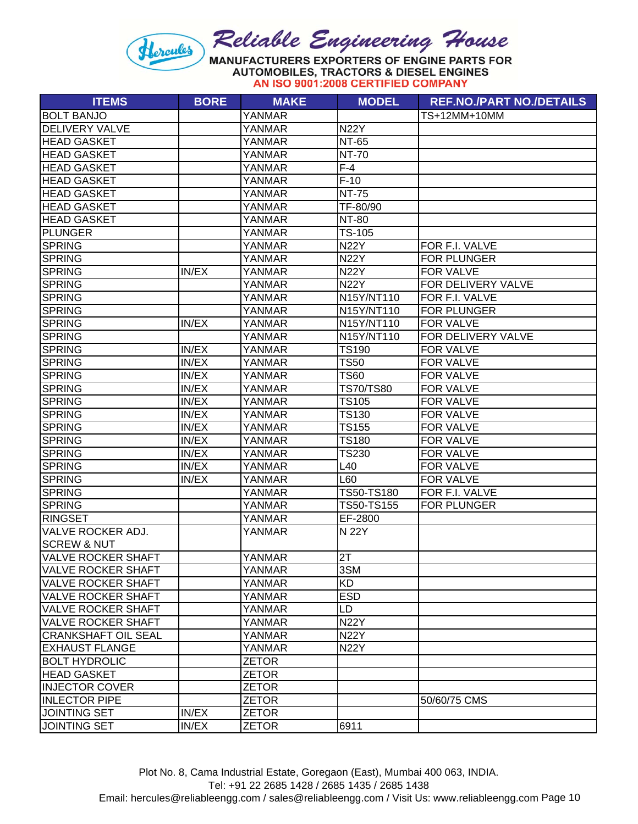#### Reliable Engineering House Hercules MANUFACTURERS EXPORTERS OF ENGINE PARTS FOR **AUTOMOBILES, TRACTORS & DIESEL ENGINES**

AN ISO 9001:2008 CERTIFIED COMPANY

| <b>ITEMS</b>               | <b>BORE</b> | <b>MAKE</b>   | <b>MODEL</b>      | <b>REF.NO./PART NO./DETAILS</b> |
|----------------------------|-------------|---------------|-------------------|---------------------------------|
| <b>BOLT BANJO</b>          |             | <b>YANMAR</b> |                   | TS+12MM+10MM                    |
| <b>DELIVERY VALVE</b>      |             | <b>YANMAR</b> | <b>N22Y</b>       |                                 |
| <b>HEAD GASKET</b>         |             | <b>YANMAR</b> | <b>NT-65</b>      |                                 |
| <b>HEAD GASKET</b>         |             | YANMAR        | <b>NT-70</b>      |                                 |
| <b>HEAD GASKET</b>         |             | YANMAR        | $F-4$             |                                 |
| <b>HEAD GASKET</b>         |             | <b>YANMAR</b> | $F-10$            |                                 |
| <b>HEAD GASKET</b>         |             | <b>YANMAR</b> | <b>NT-75</b>      |                                 |
| <b>HEAD GASKET</b>         |             | <b>YANMAR</b> | TF-80/90          |                                 |
| <b>HEAD GASKET</b>         |             | YANMAR        | <b>NT-80</b>      |                                 |
| PLUNGER                    |             | YANMAR        | TS-105            |                                 |
| <b>SPRING</b>              |             | YANMAR        | <b>N22Y</b>       | FOR F.I. VALVE                  |
| <b>SPRING</b>              |             | <b>YANMAR</b> | <b>N22Y</b>       | FOR PLUNGER                     |
| <b>SPRING</b>              | IN/EX       | YANMAR        | <b>N22Y</b>       | FOR VALVE                       |
| <b>SPRING</b>              |             | YANMAR        | <b>N22Y</b>       | FOR DELIVERY VALVE              |
| <b>SPRING</b>              |             | YANMAR        | N15Y/NT110        | FOR F.I. VALVE                  |
| <b>SPRING</b>              |             | <b>YANMAR</b> | N15Y/NT110        | <b>FOR PLUNGER</b>              |
| <b>SPRING</b>              | IN/EX       | YANMAR        | N15Y/NT110        | <b>FOR VALVE</b>                |
| <b>SPRING</b>              |             | <b>YANMAR</b> | N15Y/NT110        | FOR DELIVERY VALVE              |
| <b>SPRING</b>              | IN/EX       | <b>YANMAR</b> | <b>TS190</b>      | FOR VALVE                       |
| <b>SPRING</b>              | IN/EX       | <b>YANMAR</b> | <b>TS50</b>       | <b>FOR VALVE</b>                |
| <b>SPRING</b>              | IN/EX       | YANMAR        | <b>TS60</b>       | FOR VALVE                       |
| <b>SPRING</b>              | IN/EX       | YANMAR        | <b>TS70/TS80</b>  | FOR VALVE                       |
| <b>SPRING</b>              | IN/EX       | YANMAR        | <b>TS105</b>      | <b>FOR VALVE</b>                |
| <b>SPRING</b>              | IN/EX       | <b>YANMAR</b> | TS130             | FOR VALVE                       |
| <b>SPRING</b>              | IN/EX       | <b>YANMAR</b> | <b>TS155</b>      | <b>FOR VALVE</b>                |
| SPRING                     | IN/EX       | YANMAR        | <b>TS180</b>      | FOR VALVE                       |
| <b>SPRING</b>              | IN/EX       | <b>YANMAR</b> | TS230             | FOR VALVE                       |
| <b>SPRING</b>              | IN/EX       | YANMAR        | L40               | FOR VALVE                       |
| <b>SPRING</b>              | IN/EX       | YANMAR        | L60               | FOR VALVE                       |
| <b>SPRING</b>              |             | <b>YANMAR</b> | TS50-TS180        | FOR F.I. VALVE                  |
| <b>SPRING</b>              |             | <b>YANMAR</b> | <b>TS50-TS155</b> | <b>FOR PLUNGER</b>              |
| <b>RINGSET</b>             |             | <b>YANMAR</b> | EF-2800           |                                 |
| VALVE ROCKER ADJ.          |             | <b>YANMAR</b> | N 22Y             |                                 |
| <b>SCREW &amp; NUT</b>     |             |               |                   |                                 |
| <b>VALVE ROCKER SHAFT</b>  |             | YANMAR        | 2T                |                                 |
| <b>VALVE ROCKER SHAFT</b>  |             | <b>YANMAR</b> | 3SM               |                                 |
| <b>VALVE ROCKER SHAFT</b>  |             | YANMAR        | <b>KD</b>         |                                 |
| <b>VALVE ROCKER SHAFT</b>  |             | <b>YANMAR</b> | <b>ESD</b>        |                                 |
| <b>VALVE ROCKER SHAFT</b>  |             | <b>YANMAR</b> | LD                |                                 |
| <b>VALVE ROCKER SHAFT</b>  |             | YANMAR        | <b>N22Y</b>       |                                 |
| <b>CRANKSHAFT OIL SEAL</b> |             | YANMAR        | <b>N22Y</b>       |                                 |
| <b>EXHAUST FLANGE</b>      |             | YANMAR        | <b>N22Y</b>       |                                 |
| <b>BOLT HYDROLIC</b>       |             | <b>ZETOR</b>  |                   |                                 |
| <b>HEAD GASKET</b>         |             | <b>ZETOR</b>  |                   |                                 |
| <b>INJECTOR COVER</b>      |             | <b>ZETOR</b>  |                   |                                 |
| <b>INLECTOR PIPE</b>       |             | <b>ZETOR</b>  |                   | 50/60/75 CMS                    |
| <b>JOINTING SET</b>        | IN/EX       | <b>ZETOR</b>  |                   |                                 |
| <b>JOINTING SET</b>        | IN/EX       | <b>ZETOR</b>  | 6911              |                                 |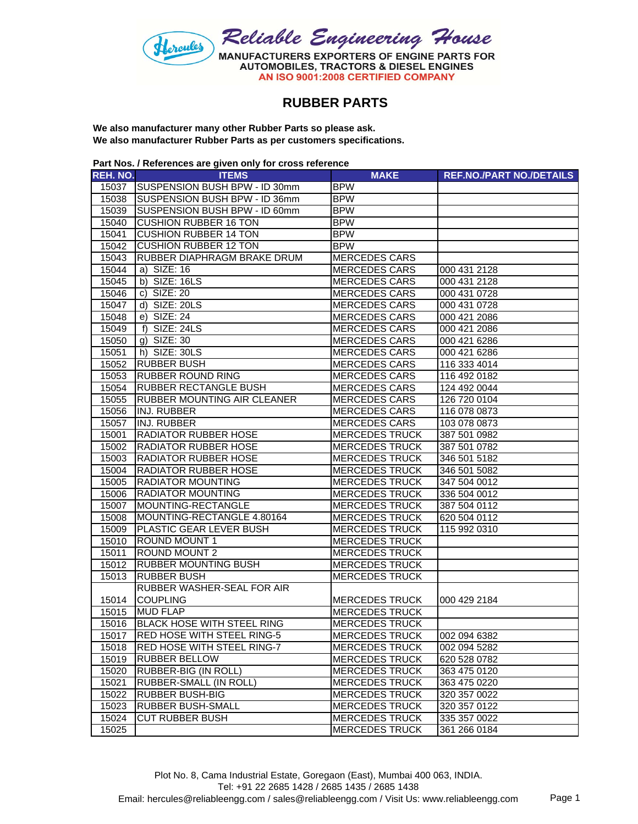

## **RUBBER PARTS**

**We also manufacturer many other Rubber Parts so please ask. We also manufacturer Rubber Parts as per customers specifications.**

**Part Nos. / References are given only for cross reference**

| REH. NO. | <b>ITEMS</b>                                      | <b>MAKE</b>                                    | <b>REF.NO./PART NO./DETAILS</b> |
|----------|---------------------------------------------------|------------------------------------------------|---------------------------------|
|          | 15037 SUSPENSION BUSH BPW - ID 30mm               | <b>BPW</b>                                     |                                 |
| 15038    | SUSPENSION BUSH BPW - ID 36mm                     | <b>BPW</b>                                     |                                 |
| 15039    | SUSPENSION BUSH BPW - ID 60mm                     | <b>BPW</b>                                     |                                 |
| 15040    | <b>CUSHION RUBBER 16 TON</b>                      | <b>BPW</b>                                     |                                 |
| 15041    | <b>CUSHION RUBBER 14 TON</b>                      | <b>BPW</b>                                     |                                 |
| 15042    | <b>CUSHION RUBBER 12 TON</b>                      | <b>BPW</b>                                     |                                 |
| 15043    | RUBBER DIAPHRAGM BRAKE DRUM                       | <b>MERCEDES CARS</b>                           |                                 |
| 15044    | a) SIZE: 16                                       | <b>MERCEDES CARS</b>                           | 000 431 2128                    |
| 15045    | b) SIZE: 16LS                                     | <b>MERCEDES CARS</b>                           | 000 431 2128                    |
| 15046    | c) SIZE: 20                                       | <b>MERCEDES CARS</b>                           | 000 431 0728                    |
| 15047    | d) SIZE: 20LS                                     | <b>MERCEDES CARS</b>                           | 000 431 0728                    |
| 15048    | e) SIZE: 24                                       | <b>MERCEDES CARS</b>                           | 000 421 2086                    |
| 15049    | f) SIZE: 24LS                                     | <b>MERCEDES CARS</b>                           | 000 421 2086                    |
| 15050    | $g)$ SIZE: 30                                     | <b>MERCEDES CARS</b>                           | 000 421 6286                    |
| 15051    | h) SIZE: 30LS                                     | <b>MERCEDES CARS</b>                           | 000 421 6286                    |
| 15052    | <b>RUBBER BUSH</b>                                | <b>MERCEDES CARS</b>                           | 116 333 4014                    |
| 15053    | <b>RUBBER ROUND RING</b>                          | <b>MERCEDES CARS</b>                           | 116 492 0182                    |
| 15054    | <b>RUBBER RECTANGLE BUSH</b>                      | <b>MERCEDES CARS</b>                           | 124 492 0044                    |
| 15055    | <b>RUBBER MOUNTING AIR CLEANER</b>                | <b>MERCEDES CARS</b>                           | 126 720 0104                    |
| 15056    | <b>INJ. RUBBER</b>                                | <b>MERCEDES CARS</b>                           | 116 078 0873                    |
| 15057    | INJ. RUBBER                                       | <b>MERCEDES CARS</b>                           | 103 078 0873                    |
| 15001    | <b>RADIATOR RUBBER HOSE</b>                       | <b>MERCEDES TRUCK</b>                          | 387 501 0982                    |
| 15002    | <b>RADIATOR RUBBER HOSE</b>                       | <b>MERCEDES TRUCK</b>                          | 387 501 0782                    |
| 15003    | <b>RADIATOR RUBBER HOSE</b>                       | <b>MERCEDES TRUCK</b>                          | 346 501 5182                    |
| 15004    | <b>RADIATOR RUBBER HOSE</b>                       | <b>MERCEDES TRUCK</b>                          | 346 501 5082                    |
| 15005    | <b>RADIATOR MOUNTING</b>                          | <b>MERCEDES TRUCK</b>                          | 347 504 0012                    |
| 15006    | <b>RADIATOR MOUNTING</b>                          | <b>MERCEDES TRUCK</b>                          | 336 504 0012                    |
| 15007    | MOUNTING-RECTANGLE                                | <b>MERCEDES TRUCK</b>                          | 387 504 0112                    |
| 15008    | MOUNTING-RECTANGLE 4.80164                        | <b>MERCEDES TRUCK</b>                          | 620 504 0112                    |
| 15009    | PLASTIC GEAR LEVER BUSH                           | <b>MERCEDES TRUCK</b>                          | 115 992 0310                    |
| 15010    | <b>ROUND MOUNT 1</b>                              | <b>MERCEDES TRUCK</b>                          |                                 |
| 15011    | <b>ROUND MOUNT 2</b>                              | <b>MERCEDES TRUCK</b>                          |                                 |
| 15012    | <b>RUBBER MOUNTING BUSH</b><br><b>RUBBER BUSH</b> | <b>MERCEDES TRUCK</b><br><b>MERCEDES TRUCK</b> |                                 |
| 15013    | RUBBER WASHER-SEAL FOR AIR                        |                                                |                                 |
| 15014    | <b>COUPLING</b>                                   | <b>MERCEDES TRUCK</b>                          | 000 429 2184                    |
| 15015    | <b>MUD FLAP</b>                                   | <b>MERCEDES TRUCK</b>                          |                                 |
| 15016    | <b>BLACK HOSE WITH STEEL RING</b>                 | <b>MERCEDES TRUCK</b>                          |                                 |
| 15017    | <b>RED HOSE WITH STEEL RING-5</b>                 | <b>MERCEDES TRUCK</b>                          | 002 094 6382                    |
| 15018    | <b>RED HOSE WITH STEEL RING-7</b>                 | <b>MERCEDES TRUCK</b>                          | 002 094 5282                    |
| 15019    | <b>RUBBER BELLOW</b>                              | <b>MERCEDES TRUCK</b>                          | 620 528 0782                    |
| 15020    | RUBBER-BIG (IN ROLL)                              | <b>MERCEDES TRUCK</b>                          | 363 475 0120                    |
| 15021    | RUBBER-SMALL (IN ROLL)                            | <b>MERCEDES TRUCK</b>                          | 363 475 0220                    |
| 15022    | <b>RUBBER BUSH-BIG</b>                            | <b>MERCEDES TRUCK</b>                          | 320 357 0022                    |
| 15023    | <b>RUBBER BUSH-SMALL</b>                          | <b>MERCEDES TRUCK</b>                          | 320 357 0122                    |
| 15024    | <b>CUT RUBBER BUSH</b>                            | <b>MERCEDES TRUCK</b>                          | 335 357 0022                    |
| 15025    |                                                   | <b>MERCEDES TRUCK</b>                          | 361 266 0184                    |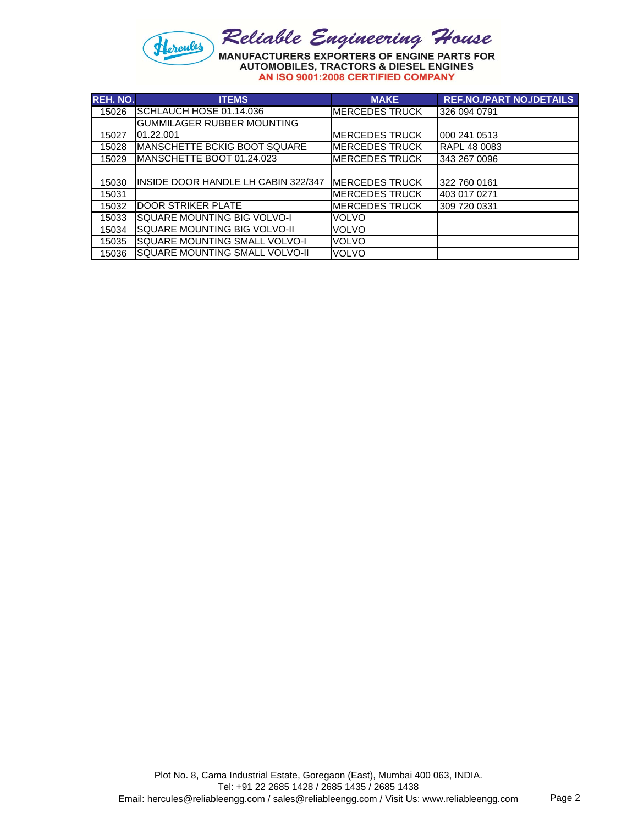

| <b>REH. NO.</b> | <b>ITEMS</b>                         | <b>MAKE</b>            | <b>REF.NO./PART NO./DETAILS</b> |
|-----------------|--------------------------------------|------------------------|---------------------------------|
| 15026           | SCHLAUCH HOSE 01.14.036              | <b>MERCEDES TRUCK</b>  | 326 094 0791                    |
|                 | <b>GUMMILAGER RUBBER MOUNTING</b>    |                        |                                 |
| 15027           | 01.22.001                            | <b>MERCEDES TRUCK</b>  | 000 241 0513                    |
| 15028           | <b>MANSCHETTE BCKIG BOOT SQUARE</b>  | <b>MERCEDES TRUCK</b>  | <b>RAPL 48 0083</b>             |
| 15029           | MANSCHETTE BOOT 01.24.023            | <b>MERCEDES TRUCK</b>  | 343 267 0096                    |
|                 |                                      |                        |                                 |
| 15030           | IINSIDE DOOR HANDLE LH CABIN 322/347 | <b>IMERCEDES TRUCK</b> | 322 760 0161                    |
| 15031           |                                      | <b>MERCEDES TRUCK</b>  | 403 017 0271                    |
| 15032           | <b>DOOR STRIKER PLATE</b>            | <b>MERCEDES TRUCK</b>  | 309 720 0331                    |
| 15033           | SQUARE MOUNTING BIG VOLVO-I          | VOLVO                  |                                 |
| 15034           | SQUARE MOUNTING BIG VOLVO-II         | <b>VOLVO</b>           |                                 |
| 15035           | SQUARE MOUNTING SMALL VOLVO-I        | <b>VOLVO</b>           |                                 |
| 15036           | SQUARE MOUNTING SMALL VOLVO-II       | <b>VOLVO</b>           |                                 |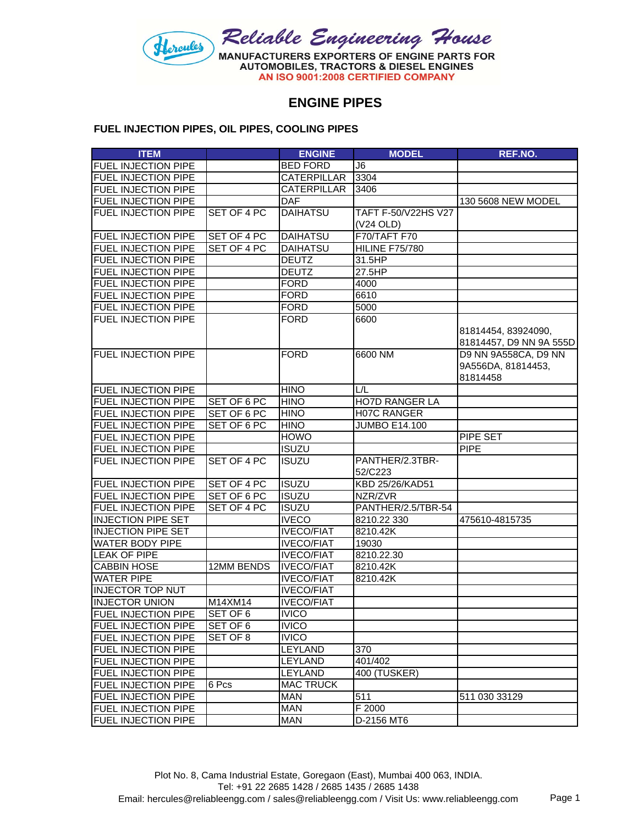

## **ENGINE PIPES**

#### **FUEL INJECTION PIPES, OIL PIPES, COOLING PIPES**

| <b>ITEM</b>                |             | <b>ENGINE</b>      | <b>MODEL</b>          | REF.NO.                 |
|----------------------------|-------------|--------------------|-----------------------|-------------------------|
| FUEL INJECTION PIPE        |             | <b>BED FORD</b>    | J <sub>6</sub>        |                         |
| <b>FUEL INJECTION PIPE</b> |             | <b>CATERPILLAR</b> | 3304                  |                         |
| <b>FUEL INJECTION PIPE</b> |             | <b>CATERPILLAR</b> | 3406                  |                         |
| <b>FUEL INJECTION PIPE</b> |             | <b>DAF</b>         |                       | 130 5608 NEW MODEL      |
| FUEL INJECTION PIPE        | SET OF 4 PC | <b>DAIHATSU</b>    | TAFT F-50/V22HS V27   |                         |
|                            |             |                    | (V24 OLD)             |                         |
| <b>FUEL INJECTION PIPE</b> | SET OF 4 PC | <b>DAIHATSU</b>    | F70/TAFT F70          |                         |
| <b>FUEL INJECTION PIPE</b> | SET OF 4 PC | <b>DAIHATSU</b>    | <b>HILINE F75/780</b> |                         |
| FUEL INJECTION PIPE        |             | <b>DEUTZ</b>       | 31.5HP                |                         |
| <b>FUEL INJECTION PIPE</b> |             | <b>DEUTZ</b>       | 27.5HP                |                         |
| FUEL INJECTION PIPE        |             | <b>FORD</b>        | 4000                  |                         |
| <b>FUEL INJECTION PIPE</b> |             | <b>FORD</b>        | 6610                  |                         |
| FUEL INJECTION PIPE        |             | <b>FORD</b>        | 5000                  |                         |
| FUEL INJECTION PIPE        |             | <b>FORD</b>        | 6600                  |                         |
|                            |             |                    |                       | 81814454, 83924090,     |
|                            |             |                    |                       | 81814457, D9 NN 9A 555D |
| <b>FUEL INJECTION PIPE</b> |             | <b>FORD</b>        | 6600 NM               | D9 NN 9A558CA, D9 NN    |
|                            |             |                    |                       | 9A556DA, 81814453,      |
|                            |             |                    |                       | 81814458                |
| <b>FUEL INJECTION PIPE</b> |             | <b>HINO</b>        | L/L                   |                         |
| <b>FUEL INJECTION PIPE</b> | SET OF 6 PC | <b>HINO</b>        | <b>HO7D RANGER LA</b> |                         |
| <b>FUEL INJECTION PIPE</b> | SET OF 6 PC | <b>HINO</b>        | <b>H07C RANGER</b>    |                         |
| <b>FUEL INJECTION PIPE</b> | SET OF 6 PC | <b>HINO</b>        | <b>JUMBO E14.100</b>  |                         |
| <b>FUEL INJECTION PIPE</b> |             | <b>HOWO</b>        |                       | <b>PIPE SET</b>         |
| FUEL INJECTION PIPE        |             | <b>ISUZU</b>       |                       | <b>PIPE</b>             |
| FUEL INJECTION PIPE        | SET OF 4 PC | <b>ISUZU</b>       | PANTHER/2.3TBR-       |                         |
|                            |             |                    | 52/C223               |                         |
| <b>FUEL INJECTION PIPE</b> | SET OF 4 PC | <b>ISUZU</b>       | KBD 25/26/KAD51       |                         |
| <b>FUEL INJECTION PIPE</b> | SET OF 6 PC | <b>ISUZU</b>       | NZR/ZVR               |                         |
| <b>FUEL INJECTION PIPE</b> | SET OF 4 PC | <b>ISUZU</b>       | PANTHER/2.5/TBR-54    |                         |
| <b>INJECTION PIPE SET</b>  |             | <b>IVECO</b>       | 8210.22 330           | 475610-4815735          |
| <b>INJECTION PIPE SET</b>  |             | <b>IVECO/FIAT</b>  | 8210.42K              |                         |
| <b>WATER BODY PIPE</b>     |             | <b>IVECO/FIAT</b>  | 19030                 |                         |
| <b>LEAK OF PIPE</b>        |             | <b>IVECO/FIAT</b>  | 8210.22.30            |                         |
| <b>CABBIN HOSE</b>         | 12MM BENDS  | <b>IVECO/FIAT</b>  | 8210.42K              |                         |
| <b>WATER PIPE</b>          |             | <b>IVECO/FIAT</b>  | 8210.42K              |                         |
| <b>INJECTOR TOP NUT</b>    |             | <b>IVECO/FIAT</b>  |                       |                         |
| <b>INJECTOR UNION</b>      | M14XM14     | <b>IVECO/FIAT</b>  |                       |                         |
| <b>FUEL INJECTION PIPE</b> | SET OF 6    | <b>IVICO</b>       |                       |                         |
| <b>FUEL INJECTION PIPE</b> | SET OF 6    | <b>IVICO</b>       |                       |                         |
| <b>FUEL INJECTION PIPE</b> | SET OF 8    | <b>IVICO</b>       |                       |                         |
| <b>FUEL INJECTION PIPE</b> |             | <b>LEYLAND</b>     | 370                   |                         |
| <b>FUEL INJECTION PIPE</b> |             | LEYLAND            | 401/402               |                         |
| <b>FUEL INJECTION PIPE</b> |             | LEYLAND            | 400 (TUSKER)          |                         |
| <b>FUEL INJECTION PIPE</b> | 6 Pcs       | <b>MAC TRUCK</b>   |                       |                         |
| <b>FUEL INJECTION PIPE</b> |             | <b>MAN</b>         | 511                   | 511 030 33129           |
| FUEL INJECTION PIPE        |             | <b>MAN</b>         | F 2000                |                         |
| FUEL INJECTION PIPE        |             | <b>MAN</b>         | D-2156 MT6            |                         |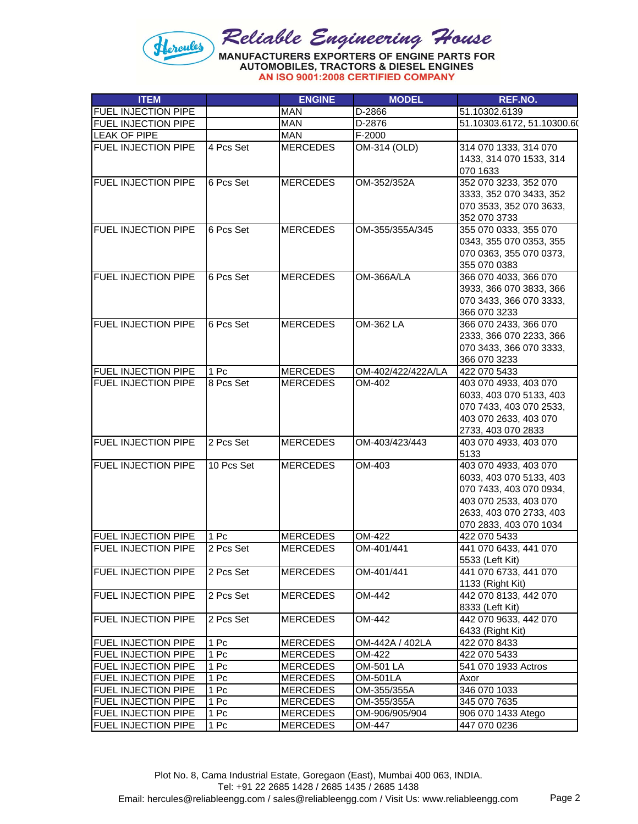

AN ISO 9001:2008 CERTIFIED COMPANY

| <b>ITEM</b>                |            | <b>ENGINE</b>   | <b>MODEL</b>       | REF.NO.                    |
|----------------------------|------------|-----------------|--------------------|----------------------------|
| <b>FUEL INJECTION PIPE</b> |            | <b>MAN</b>      | D-2866             | 51.10302.6139              |
| <b>FUEL INJECTION PIPE</b> |            | <b>MAN</b>      | D-2876             | 51.10303.6172, 51.10300.6( |
| <b>LEAK OF PIPE</b>        |            | <b>MAN</b>      | F-2000             |                            |
| FUEL INJECTION PIPE        | 4 Pcs Set  | <b>MERCEDES</b> | OM-314 (OLD)       | 314 070 1333, 314 070      |
|                            |            |                 |                    | 1433, 314 070 1533, 314    |
|                            |            |                 |                    | 070 1633                   |
| FUEL INJECTION PIPE        | 6 Pcs Set  | <b>MERCEDES</b> | OM-352/352A        | 352 070 3233, 352 070      |
|                            |            |                 |                    | 3333, 352 070 3433, 352    |
|                            |            |                 |                    | 070 3533, 352 070 3633,    |
|                            |            |                 |                    | 352 070 3733               |
| <b>FUEL INJECTION PIPE</b> | 6 Pcs Set  | <b>MERCEDES</b> | OM-355/355A/345    | 355 070 0333, 355 070      |
|                            |            |                 |                    | 0343, 355 070 0353, 355    |
|                            |            |                 |                    | 070 0363, 355 070 0373,    |
|                            |            |                 |                    | 355 070 0383               |
| FUEL INJECTION PIPE        | 6 Pcs Set  | <b>MERCEDES</b> | OM-366A/LA         | 366 070 4033, 366 070      |
|                            |            |                 |                    | 3933, 366 070 3833, 366    |
|                            |            |                 |                    | 070 3433, 366 070 3333,    |
|                            |            |                 |                    | 366 070 3233               |
| <b>FUEL INJECTION PIPE</b> | 6 Pcs Set  | <b>MERCEDES</b> | OM-362 LA          | 366 070 2433, 366 070      |
|                            |            |                 |                    | 2333, 366 070 2233, 366    |
|                            |            |                 |                    | 070 3433, 366 070 3333,    |
|                            |            |                 |                    | 366 070 3233               |
| <b>FUEL INJECTION PIPE</b> | 1 Pc       | <b>MERCEDES</b> | OM-402/422/422A/LA | 422 070 5433               |
| FUEL INJECTION PIPE        | 8 Pcs Set  | <b>MERCEDES</b> | OM-402             | 403 070 4933, 403 070      |
|                            |            |                 |                    | 6033, 403 070 5133, 403    |
|                            |            |                 |                    | 070 7433, 403 070 2533,    |
|                            |            |                 |                    | 403 070 2633, 403 070      |
|                            |            |                 |                    | 2733, 403 070 2833         |
| <b>FUEL INJECTION PIPE</b> | 2 Pcs Set  | <b>MERCEDES</b> | OM-403/423/443     | 403 070 4933, 403 070      |
|                            |            |                 |                    | 5133                       |
| <b>FUEL INJECTION PIPE</b> | 10 Pcs Set | <b>MERCEDES</b> | OM-403             | 403 070 4933, 403 070      |
|                            |            |                 |                    | 6033, 403 070 5133, 403    |
|                            |            |                 |                    | 070 7433, 403 070 0934,    |
|                            |            |                 |                    | 403 070 2533, 403 070      |
|                            |            |                 |                    | 2633, 403 070 2733, 403    |
|                            |            |                 |                    | 070 2833, 403 070 1034     |
| <b>FUEL INJECTION PIPE</b> | 1 Pc       | <b>MERCEDES</b> | OM-422             | 422 070 5433               |
| FUEL INJECTION PIPE        | 2 Pcs Set  | <b>MERCEDES</b> | OM-401/441         | 441 070 6433, 441 070      |
|                            |            |                 |                    | 5533 (Left Kit)            |
| <b>FUEL INJECTION PIPE</b> | 2 Pcs Set  | <b>MERCEDES</b> | OM-401/441         | 441 070 6733, 441 070      |
|                            |            |                 |                    | 1133 (Right Kit)           |
| <b>FUEL INJECTION PIPE</b> | 2 Pcs Set  | <b>MERCEDES</b> | OM-442             | 442 070 8133, 442 070      |
|                            |            |                 |                    | 8333 (Left Kit)            |
| <b>FUEL INJECTION PIPE</b> | 2 Pcs Set  | <b>MERCEDES</b> | OM-442             | 442 070 9633, 442 070      |
|                            |            |                 |                    | 6433 (Right Kit)           |
| <b>FUEL INJECTION PIPE</b> | 1 Pc       | <b>MERCEDES</b> | OM-442A / 402LA    | 422 070 8433               |
| <b>FUEL INJECTION PIPE</b> | 1 Pc       | <b>MERCEDES</b> | OM-422             | 422 070 5433               |
| <b>FUEL INJECTION PIPE</b> | 1 Pc       | <b>MERCEDES</b> | OM-501 LA          | 541 070 1933 Actros        |
| <b>FUEL INJECTION PIPE</b> | 1 Pc       | <b>MERCEDES</b> | OM-501LA           | Axor                       |
| <b>FUEL INJECTION PIPE</b> | 1 Pc       | <b>MERCEDES</b> | OM-355/355A        | 346 070 1033               |
| <b>FUEL INJECTION PIPE</b> | 1 Pc       | <b>MERCEDES</b> | OM-355/355A        | 345 070 7635               |
| <b>FUEL INJECTION PIPE</b> | 1 Pc       | <b>MERCEDES</b> | OM-906/905/904     | 906 070 1433 Atego         |
| <b>FUEL INJECTION PIPE</b> | 1 Pc       | <b>MERCEDES</b> | OM-447             | 447 070 0236               |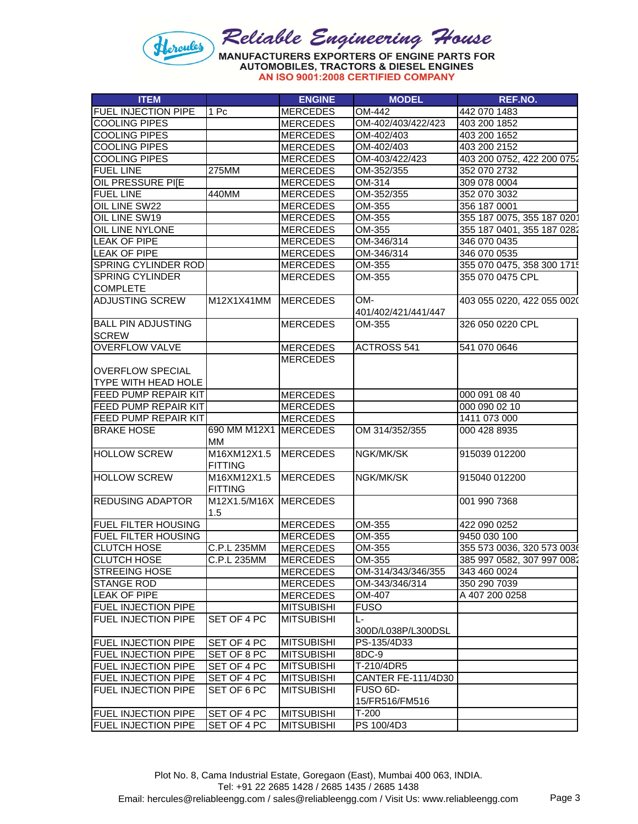

|  |  | AN ISO 9001:2008 CERTIFIED COMPAN |  |
|--|--|-----------------------------------|--|
|--|--|-----------------------------------|--|

| <b>ITEM</b>                |                                         | <b>ENGINE</b>     | <b>MODEL</b>              | REF.NO.                    |
|----------------------------|-----------------------------------------|-------------------|---------------------------|----------------------------|
| <b>FUEL INJECTION PIPE</b> | 1 Pc                                    | <b>MERCEDES</b>   | OM-442                    | 442 070 1483               |
| <b>COOLING PIPES</b>       |                                         | <b>MERCEDES</b>   | OM-402/403/422/423        | 403 200 1852               |
| <b>COOLING PIPES</b>       |                                         | <b>MERCEDES</b>   | OM-402/403                | 403 200 1652               |
| <b>COOLING PIPES</b>       |                                         | <b>MERCEDES</b>   | OM-402/403                | 403 200 2152               |
| <b>COOLING PIPES</b>       |                                         | <b>MERCEDES</b>   | OM-403/422/423            | 403 200 0752, 422 200 0752 |
| <b>FUEL LINE</b>           | 275MM                                   | <b>MERCEDES</b>   | OM-352/355                | 352 070 2732               |
| OIL PRESSURE PI[E          |                                         | <b>MERCEDES</b>   | OM-314                    | 309 078 0004               |
| <b>FUEL LINE</b>           | 440MM                                   | <b>MERCEDES</b>   | OM-352/355                | 352 070 3032               |
| OIL LINE SW22              |                                         | <b>MERCEDES</b>   | OM-355                    | 356 187 0001               |
| OIL LINE SW19              |                                         | <b>MERCEDES</b>   | OM-355                    | 355 187 0075, 355 187 020  |
| OIL LINE NYLONE            |                                         | <b>MERCEDES</b>   | OM-355                    | 355 187 0401, 355 187 0282 |
| <b>LEAK OF PIPE</b>        |                                         | <b>MERCEDES</b>   | OM-346/314                | 346 070 0435               |
| <b>LEAK OF PIPE</b>        |                                         | <b>MERCEDES</b>   | OM-346/314                | 346 070 0535               |
| SPRING CYLINDER ROD        |                                         | <b>MERCEDES</b>   | OM-355                    | 355 070 0475, 358 300 1715 |
| <b>SPRING CYLINDER</b>     |                                         | <b>MERCEDES</b>   | OM-355                    | 355 070 0475 CPL           |
| <b>COMPLETE</b>            |                                         |                   |                           |                            |
| ADJUSTING SCREW            | M12X1X41MM                              | <b>MERCEDES</b>   | OM-                       | 403 055 0220, 422 055 002( |
|                            |                                         |                   | 401/402/421/441/447       |                            |
| <b>BALL PIN ADJUSTING</b>  |                                         | <b>MERCEDES</b>   | OM-355                    | 326 050 0220 CPL           |
| <b>SCREW</b>               |                                         |                   |                           |                            |
| <b>OVERFLOW VALVE</b>      |                                         | <b>MERCEDES</b>   | <b>ACTROSS 541</b>        | 541 070 0646               |
|                            |                                         | <b>MERCEDES</b>   |                           |                            |
| <b>OVERFLOW SPECIAL</b>    |                                         |                   |                           |                            |
| <b>TYPE WITH HEAD HOLE</b> |                                         |                   |                           |                            |
| FEED PUMP REPAIR KIT       |                                         | <b>MERCEDES</b>   |                           | 000 091 08 40              |
|                            |                                         |                   |                           |                            |
| FEED PUMP REPAIR KIT       |                                         | <b>MERCEDES</b>   |                           | 000 090 02 10              |
| FEED PUMP REPAIR KIT       |                                         | <b>MERCEDES</b>   |                           | 1411 073 000               |
| <b>BRAKE HOSE</b>          | 690 MM M12X1 MERCEDES<br>MМ             |                   | OM 314/352/355            | 000 428 8935               |
| <b>HOLLOW SCREW</b>        | M16XM12X1.5                             | <b>MERCEDES</b>   | NGK/MK/SK                 | 915039 012200              |
|                            | <b>FITTING</b>                          |                   |                           |                            |
| <b>HOLLOW SCREW</b>        | M16XM12X1.5                             | <b>MERCEDES</b>   | NGK/MK/SK                 | 915040 012200              |
|                            |                                         |                   |                           |                            |
| <b>REDUSING ADAPTOR</b>    | <b>FITTING</b><br>M12X1.5/M16X MERCEDES |                   |                           |                            |
|                            |                                         |                   |                           | 001 990 7368               |
| <b>FUEL FILTER HOUSING</b> | 1.5                                     |                   | OM-355                    | 422 090 0252               |
| <b>FUEL FILTER HOUSING</b> |                                         | <b>MERCEDES</b>   | OM-355                    |                            |
|                            |                                         | <b>MERCEDES</b>   |                           | 9450 030 100               |
| <b>CLUTCH HOSE</b>         | C.P.L 235MM                             | <b>MERCEDES</b>   | OM-355                    | 355 573 0036, 320 573 0036 |
| <b>CLUTCH HOSE</b>         | C.P.L 235MM                             | <b>MERCEDES</b>   | OM-355                    | 385 997 0582, 307 997 0082 |
| <b>STREEING HOSE</b>       |                                         | <b>MERCEDES</b>   | OM-314/343/346/355        | 343 460 0024               |
| <b>STANGE ROD</b>          |                                         | <b>MERCEDES</b>   | OM-343/346/314            | 350 290 7039               |
| <b>LEAK OF PIPE</b>        |                                         | <b>MERCEDES</b>   | OM-407                    | A 407 200 0258             |
| <b>FUEL INJECTION PIPE</b> |                                         | <b>MITSUBISHI</b> | <b>FUSO</b>               |                            |
| <b>FUEL INJECTION PIPE</b> | SET OF 4 PC                             | <b>MITSUBISHI</b> | L-                        |                            |
|                            |                                         |                   | 300D/L038P/L300DSL        |                            |
| <b>FUEL INJECTION PIPE</b> | SET OF 4 PC                             | <b>MITSUBISHI</b> | PS-135/4D33               |                            |
| <b>FUEL INJECTION PIPE</b> | SET OF 8 PC                             | <b>MITSUBISHI</b> | 8DC-9                     |                            |
| <b>FUEL INJECTION PIPE</b> | SET OF 4 PC                             | <b>MITSUBISHI</b> | T-210/4DR5                |                            |
| <b>FUEL INJECTION PIPE</b> | SET OF 4 PC                             | <b>MITSUBISHI</b> | <b>CANTER FE-111/4D30</b> |                            |
| <b>FUEL INJECTION PIPE</b> | SET OF 6 PC                             | <b>MITSUBISHI</b> | FUSO 6D-                  |                            |
|                            |                                         |                   | 15/FR516/FM516            |                            |
| <b>FUEL INJECTION PIPE</b> | SET OF 4 PC                             | <b>MITSUBISHI</b> | $T-200$                   |                            |
| <b>FUEL INJECTION PIPE</b> | SET OF 4 PC                             | <b>MITSUBISHI</b> | PS 100/4D3                |                            |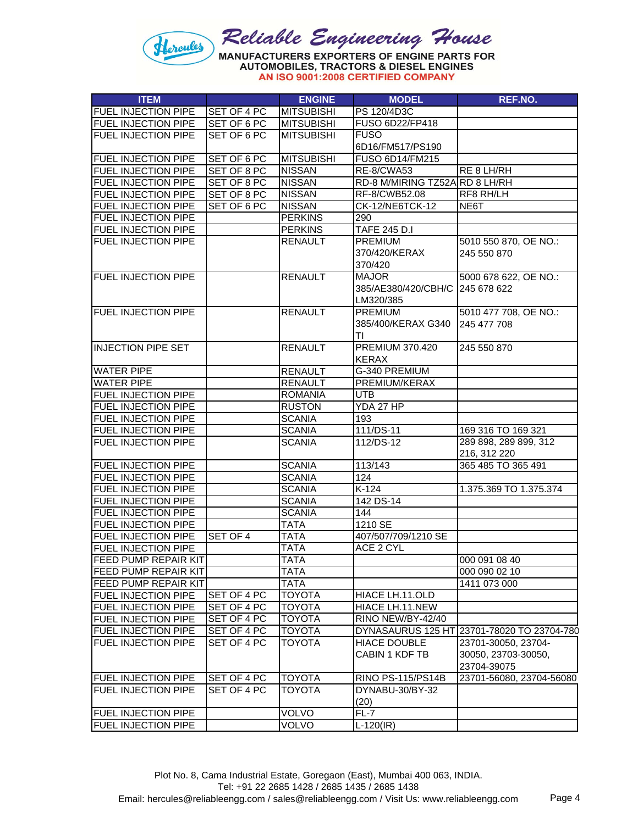

| <b>ITEM</b>                                              |             | <b>ENGINE</b>     | <b>MODEL</b>                       | REF.NO.                                    |
|----------------------------------------------------------|-------------|-------------------|------------------------------------|--------------------------------------------|
| <b>FUEL INJECTION PIPE</b>                               | SET OF 4 PC | <b>MITSUBISHI</b> | PS 120/4D3C                        |                                            |
| <b>FUEL INJECTION PIPE</b>                               | SET OF 6 PC | <b>MITSUBISHI</b> | FUSO 6D22/FP418                    |                                            |
| FUEL INJECTION PIPE                                      | SET OF 6 PC | <b>MITSUBISHI</b> | <b>FUSO</b>                        |                                            |
|                                                          |             |                   | 6D16/FM517/PS190                   |                                            |
| <b>FUEL INJECTION PIPE</b>                               | SET OF 6 PC | <b>MITSUBISHI</b> | FUSO 6D14/FM215                    |                                            |
| <b>FUEL INJECTION PIPE</b>                               | SET OF 8 PC | <b>NISSAN</b>     | RE-8/CWA53                         | RE 8 LH/RH                                 |
| FUEL INJECTION PIPE                                      | SET OF 8 PC | <b>NISSAN</b>     | RD-8 M/MIRING TZ52A RD 8 LH/RH     |                                            |
| <b>FUEL INJECTION PIPE</b>                               | SET OF 8 PC | <b>NISSAN</b>     | RF-8/CWB52.08                      | RF8 RH/LH                                  |
| <b>FUEL INJECTION PIPE</b>                               | SET OF 6 PC | <b>NISSAN</b>     | <b>CK-12/NE6TCK-12</b>             | NE6T                                       |
| <b>FUEL INJECTION PIPE</b>                               |             | <b>PERKINS</b>    | 290                                |                                            |
| FUEL INJECTION PIPE                                      |             | <b>PERKINS</b>    | <b>TAFE 245 D.I</b>                |                                            |
| <b>FUEL INJECTION PIPE</b>                               |             | <b>RENAULT</b>    | <b>PREMIUM</b>                     | 5010 550 870, OE NO.:                      |
|                                                          |             |                   | 370/420/KERAX                      | 245 550 870                                |
|                                                          |             |                   | 370/420                            |                                            |
| <b>FUEL INJECTION PIPE</b>                               |             | <b>RENAULT</b>    | <b>MAJOR</b>                       | 5000 678 622, OE NO.:                      |
|                                                          |             |                   | 385/AE380/420/CBH/C 245 678 622    |                                            |
|                                                          |             |                   | LM320/385                          |                                            |
| <b>FUEL INJECTION PIPE</b>                               |             | <b>RENAULT</b>    | <b>PREMIUM</b>                     | 5010 477 708, OE NO.:                      |
|                                                          |             |                   | 385/400/KERAX G340 245 477 708     |                                            |
|                                                          |             |                   | ΤI                                 |                                            |
| <b>INJECTION PIPE SET</b>                                |             | <b>RENAULT</b>    | <b>PREMIUM 370.420</b>             | 245 550 870                                |
|                                                          |             |                   | <b>KERAX</b>                       |                                            |
| <b>WATER PIPE</b>                                        |             | <b>RENAULT</b>    | G-340 PREMIUM                      |                                            |
| <b>WATER PIPE</b>                                        |             | <b>RENAULT</b>    | PREMIUM/KERAX                      |                                            |
| <b>FUEL INJECTION PIPE</b>                               |             | <b>ROMANIA</b>    | <b>UTB</b>                         |                                            |
| <b>FUEL INJECTION PIPE</b>                               |             | <b>RUSTON</b>     | YDA 27 HP                          |                                            |
| <b>FUEL INJECTION PIPE</b>                               |             | <b>SCANIA</b>     | 193                                |                                            |
| <b>FUEL INJECTION PIPE</b>                               |             | <b>SCANIA</b>     | 111/DS-11                          | 169 316 TO 169 321                         |
| <b>FUEL INJECTION PIPE</b>                               |             | <b>SCANIA</b>     | 112/DS-12                          | 289 898, 289 899, 312                      |
|                                                          |             |                   |                                    | 216, 312 220                               |
| <b>FUEL INJECTION PIPE</b>                               |             | <b>SCANIA</b>     | 113/143                            | 365 485 TO 365 491                         |
| FUEL INJECTION PIPE                                      |             | <b>SCANIA</b>     | 124                                |                                            |
| <b>FUEL INJECTION PIPE</b>                               |             | <b>SCANIA</b>     | $\overline{K-124}$                 | 1.375.369 TO 1.375.374                     |
| <b>FUEL INJECTION PIPE</b>                               |             | <b>SCANIA</b>     | 142 DS-14                          |                                            |
| <b>FUEL INJECTION PIPE</b>                               |             | <b>SCANIA</b>     | 144                                |                                            |
| <b>FUEL INJECTION PIPE</b>                               |             | <b>TATA</b>       | 1210 SE                            |                                            |
| <b>FUEL INJECTION PIPE</b>                               | SET OF 4    | <b>TATA</b>       | 407/507/709/1210 SE                |                                            |
| <b>FUEL INJECTION PIPE</b>                               |             | <b>TATA</b>       | ACE 2 CYL                          |                                            |
| <b>FEED PUMP REPAIR KIT</b>                              |             | TATA              |                                    | 000 091 08 40                              |
| <b>FEED PUMP REPAIR KIT</b>                              |             | TATA              |                                    | 000 090 02 10                              |
| <b>FEED PUMP REPAIR KIT</b>                              |             | <b>TATA</b>       |                                    | 1411 073 000                               |
| <b>FUEL INJECTION PIPE</b>                               | SET OF 4 PC | <b>TOYOTA</b>     |                                    |                                            |
| <b>FUEL INJECTION PIPE</b>                               | SET OF 4 PC | <b>TOYOTA</b>     | HIACE LH.11.OLD<br>HIACE LH.11.NEW |                                            |
|                                                          | SET OF 4 PC | <b>TOYOTA</b>     | RINO NEW/BY-42/40                  |                                            |
| <b>FUEL INJECTION PIPE</b>                               | SET OF 4 PC | <b>TOYOTA</b>     |                                    | DYNASAURUS 125 HT 23701-78020 TO 23704-780 |
| <b>FUEL INJECTION PIPE</b><br><b>FUEL INJECTION PIPE</b> | SET OF 4 PC | <b>TOYOTA</b>     | <b>HIACE DOUBLE</b>                |                                            |
|                                                          |             |                   |                                    | 23701-30050, 23704-                        |
|                                                          |             |                   | CABIN 1 KDF TB                     | 30050, 23703-30050,                        |
|                                                          | SET OF 4 PC | <b>TOYOTA</b>     | <b>RINO PS-115/PS14B</b>           | 23704-39075<br>23701-56080, 23704-56080    |
| <b>FUEL INJECTION PIPE</b><br><b>FUEL INJECTION PIPE</b> | SET OF 4 PC | <b>TOYOTA</b>     | DYNABU-30/BY-32                    |                                            |
|                                                          |             |                   |                                    |                                            |
| <b>FUEL INJECTION PIPE</b>                               |             | <b>VOLVO</b>      | (20)<br>$FL-7$                     |                                            |
|                                                          |             | <b>VOLVO</b>      |                                    |                                            |
| <b>FUEL INJECTION PIPE</b>                               |             |                   | $L-120$ (IR)                       |                                            |